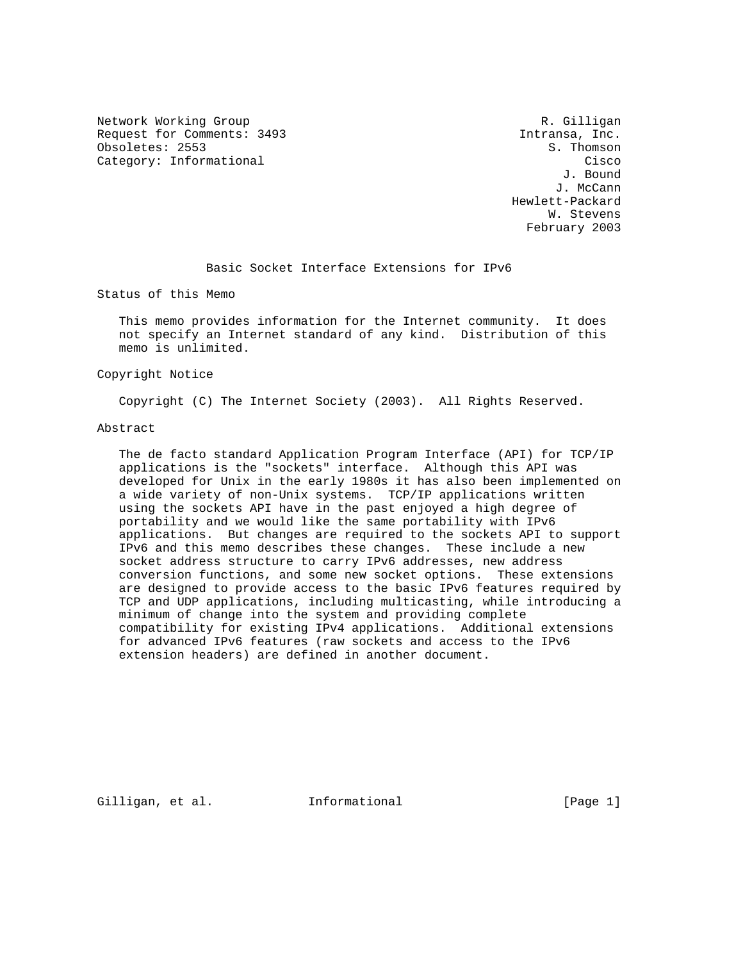Network Working Group and Months and Months and Months R. Gilligan Request for Comments: 3493 Intransa, Inc. Obsoletes: 2553

Category: Informational Category: Cisco<br>
U. Bound J. Bound J. McCann Hewlett-Packard W. Stevens February 2003

Basic Socket Interface Extensions for IPv6

Status of this Memo

 This memo provides information for the Internet community. It does not specify an Internet standard of any kind. Distribution of this memo is unlimited.

## Copyright Notice

Copyright (C) The Internet Society (2003). All Rights Reserved.

#### Abstract

 The de facto standard Application Program Interface (API) for TCP/IP applications is the "sockets" interface. Although this API was developed for Unix in the early 1980s it has also been implemented on a wide variety of non-Unix systems. TCP/IP applications written using the sockets API have in the past enjoyed a high degree of portability and we would like the same portability with IPv6 applications. But changes are required to the sockets API to support IPv6 and this memo describes these changes. These include a new socket address structure to carry IPv6 addresses, new address conversion functions, and some new socket options. These extensions are designed to provide access to the basic IPv6 features required by TCP and UDP applications, including multicasting, while introducing a minimum of change into the system and providing complete compatibility for existing IPv4 applications. Additional extensions for advanced IPv6 features (raw sockets and access to the IPv6 extension headers) are defined in another document.

Gilligan, et al. 1nformational (Page 1)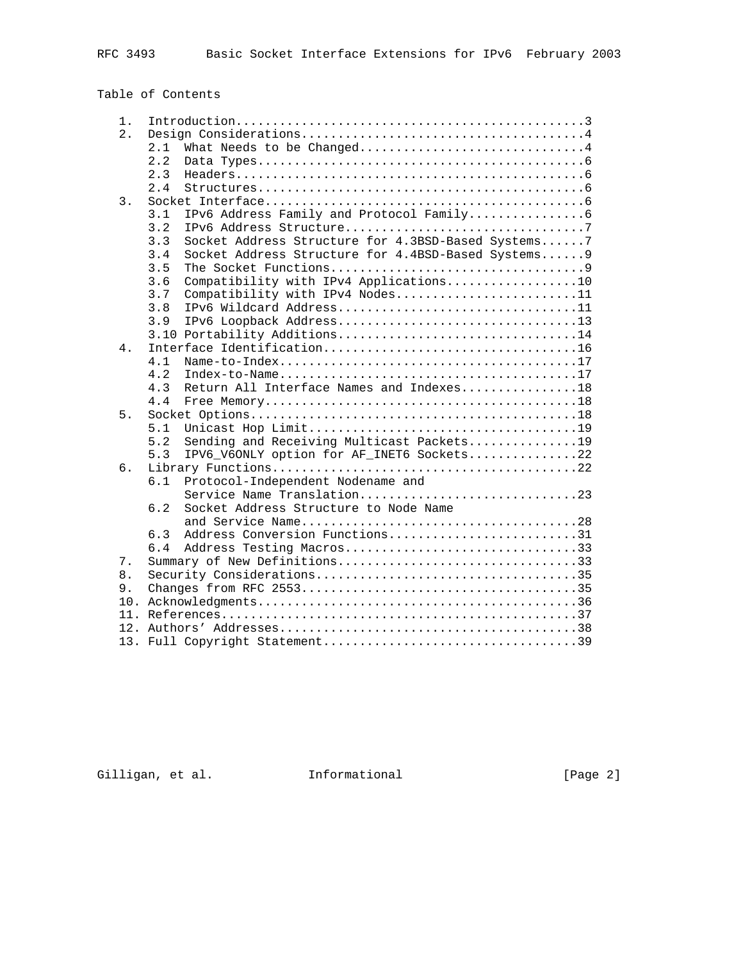# Table of Contents

| $1$ . |                                                                                                                        |  |  |
|-------|------------------------------------------------------------------------------------------------------------------------|--|--|
| 2.    |                                                                                                                        |  |  |
|       | What Needs to be Changed4<br>2.1                                                                                       |  |  |
|       | 2.2                                                                                                                    |  |  |
|       | 2.3<br>$Headers \dots \dots \dots \dots \dots \dots \dots \dots \dots \dots \dots \dots \dots \dots \dots \dots \dots$ |  |  |
|       | 2.4                                                                                                                    |  |  |
| 3.    |                                                                                                                        |  |  |
|       | 3.1                                                                                                                    |  |  |
|       | 3.2                                                                                                                    |  |  |
|       | Socket Address Structure for 4.3BSD-Based Systems7<br>3.3                                                              |  |  |
|       | 3.4<br>Socket Address Structure for 4.4BSD-Based Systems 9                                                             |  |  |
|       | 3.5                                                                                                                    |  |  |
|       | Compatibility with IPv4 Applications10<br>3.6                                                                          |  |  |
|       | 3.7<br>Compatibility with IPv4 Nodes11                                                                                 |  |  |
|       | IPv6 Wildcard Address11<br>3.8                                                                                         |  |  |
|       | 3.9                                                                                                                    |  |  |
|       | 3.10 Portability Additions14                                                                                           |  |  |
| $4$ . |                                                                                                                        |  |  |
|       | 4.1                                                                                                                    |  |  |
|       | 4.2                                                                                                                    |  |  |
|       | Return All Interface Names and Indexes18<br>4.3                                                                        |  |  |
|       | 4.4                                                                                                                    |  |  |
| 5.    |                                                                                                                        |  |  |
|       | 5.1                                                                                                                    |  |  |
|       | 5.2<br>Sending and Receiving Multicast Packets19                                                                       |  |  |
|       | IPV6_V6ONLY option for AF_INET6 Sockets22<br>5.3                                                                       |  |  |
| 6.    | 6.1                                                                                                                    |  |  |
|       | Protocol-Independent Nodename and<br>Service Name Translation23                                                        |  |  |
|       | Socket Address Structure to Node Name<br>6.2                                                                           |  |  |
|       |                                                                                                                        |  |  |
|       | Address Conversion Functions31<br>6.3                                                                                  |  |  |
|       | Address Testing Macros33<br>6.4                                                                                        |  |  |
| 7.    | Summary of New Definitions33                                                                                           |  |  |
| 8.    |                                                                                                                        |  |  |
| 9.    |                                                                                                                        |  |  |
| 10.   |                                                                                                                        |  |  |
| 11.   |                                                                                                                        |  |  |
|       |                                                                                                                        |  |  |
|       |                                                                                                                        |  |  |

Gilligan, et al. Informational [Page 2]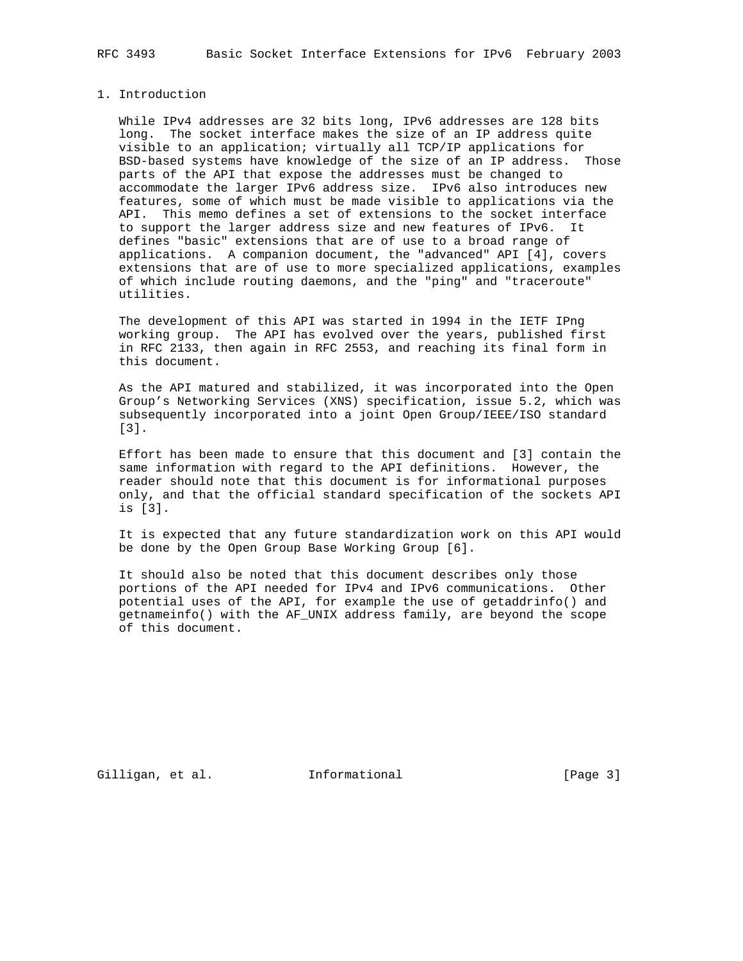## 1. Introduction

 While IPv4 addresses are 32 bits long, IPv6 addresses are 128 bits long. The socket interface makes the size of an IP address quite visible to an application; virtually all TCP/IP applications for BSD-based systems have knowledge of the size of an IP address. Those parts of the API that expose the addresses must be changed to accommodate the larger IPv6 address size. IPv6 also introduces new features, some of which must be made visible to applications via the API. This memo defines a set of extensions to the socket interface to support the larger address size and new features of IPv6. It defines "basic" extensions that are of use to a broad range of applications. A companion document, the "advanced" API [4], covers extensions that are of use to more specialized applications, examples of which include routing daemons, and the "ping" and "traceroute" utilities.

 The development of this API was started in 1994 in the IETF IPng working group. The API has evolved over the years, published first in RFC 2133, then again in RFC 2553, and reaching its final form in this document.

 As the API matured and stabilized, it was incorporated into the Open Group's Networking Services (XNS) specification, issue 5.2, which was subsequently incorporated into a joint Open Group/IEEE/ISO standard [3].

 Effort has been made to ensure that this document and [3] contain the same information with regard to the API definitions. However, the reader should note that this document is for informational purposes only, and that the official standard specification of the sockets API is [3].

 It is expected that any future standardization work on this API would be done by the Open Group Base Working Group [6].

 It should also be noted that this document describes only those portions of the API needed for IPv4 and IPv6 communications. Other potential uses of the API, for example the use of getaddrinfo() and getnameinfo() with the AF\_UNIX address family, are beyond the scope of this document.

Gilligan, et al. 1nformational (Page 3)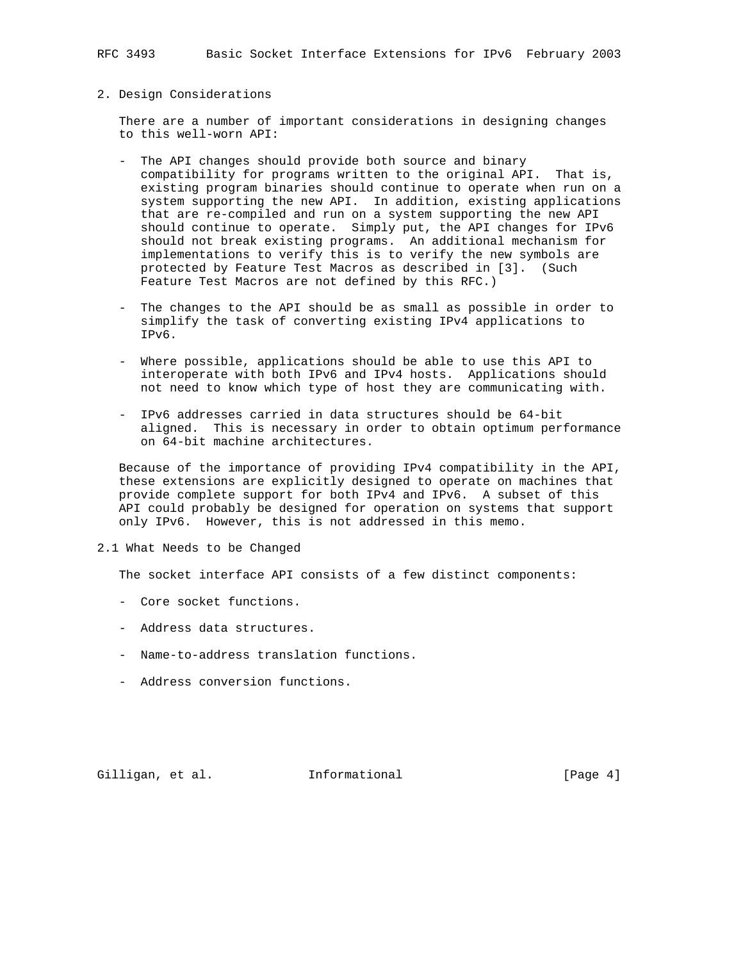## 2. Design Considerations

 There are a number of important considerations in designing changes to this well-worn API:

- The API changes should provide both source and binary compatibility for programs written to the original API. That is, existing program binaries should continue to operate when run on a system supporting the new API. In addition, existing applications that are re-compiled and run on a system supporting the new API should continue to operate. Simply put, the API changes for IPv6 should not break existing programs. An additional mechanism for implementations to verify this is to verify the new symbols are protected by Feature Test Macros as described in [3]. (Such Feature Test Macros are not defined by this RFC.)
- The changes to the API should be as small as possible in order to simplify the task of converting existing IPv4 applications to IPv6.
- Where possible, applications should be able to use this API to interoperate with both IPv6 and IPv4 hosts. Applications should not need to know which type of host they are communicating with.
- IPv6 addresses carried in data structures should be 64-bit aligned. This is necessary in order to obtain optimum performance on 64-bit machine architectures.

 Because of the importance of providing IPv4 compatibility in the API, these extensions are explicitly designed to operate on machines that provide complete support for both IPv4 and IPv6. A subset of this API could probably be designed for operation on systems that support only IPv6. However, this is not addressed in this memo.

2.1 What Needs to be Changed

The socket interface API consists of a few distinct components:

- Core socket functions.
- Address data structures.
- Name-to-address translation functions.
- Address conversion functions.

Gilligan, et al. 1nformational (Page 4)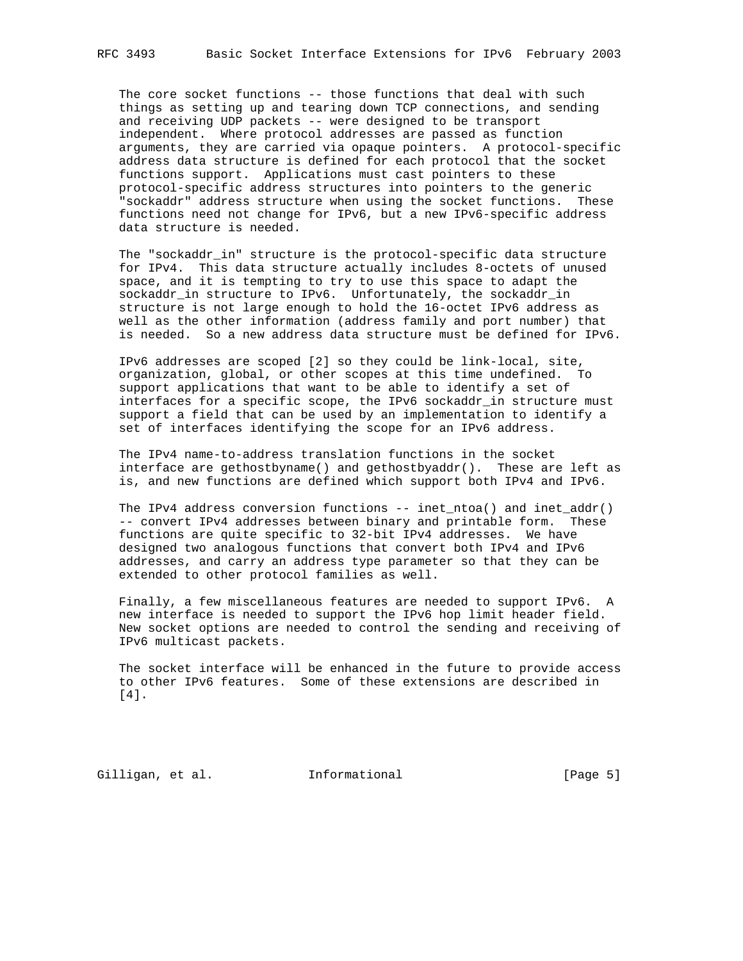The core socket functions -- those functions that deal with such things as setting up and tearing down TCP connections, and sending and receiving UDP packets -- were designed to be transport independent. Where protocol addresses are passed as function arguments, they are carried via opaque pointers. A protocol-specific address data structure is defined for each protocol that the socket functions support. Applications must cast pointers to these protocol-specific address structures into pointers to the generic "sockaddr" address structure when using the socket functions. These functions need not change for IPv6, but a new IPv6-specific address data structure is needed.

 The "sockaddr\_in" structure is the protocol-specific data structure for IPv4. This data structure actually includes 8-octets of unused space, and it is tempting to try to use this space to adapt the sockaddr\_in structure to IPv6. Unfortunately, the sockaddr\_in structure is not large enough to hold the 16-octet IPv6 address as well as the other information (address family and port number) that is needed. So a new address data structure must be defined for IPv6.

 IPv6 addresses are scoped [2] so they could be link-local, site, organization, global, or other scopes at this time undefined. To support applications that want to be able to identify a set of interfaces for a specific scope, the IPv6 sockaddr\_in structure must support a field that can be used by an implementation to identify a set of interfaces identifying the scope for an IPv6 address.

 The IPv4 name-to-address translation functions in the socket interface are gethostbyname() and gethostbyaddr(). These are left as is, and new functions are defined which support both IPv4 and IPv6.

The IPv4 address conversion functions  $--$  inet\_ntoa() and inet\_addr() -- convert IPv4 addresses between binary and printable form. These functions are quite specific to 32-bit IPv4 addresses. We have designed two analogous functions that convert both IPv4 and IPv6 addresses, and carry an address type parameter so that they can be extended to other protocol families as well.

 Finally, a few miscellaneous features are needed to support IPv6. A new interface is needed to support the IPv6 hop limit header field. New socket options are needed to control the sending and receiving of IPv6 multicast packets.

 The socket interface will be enhanced in the future to provide access to other IPv6 features. Some of these extensions are described in [4].

Gilligan, et al. 1nformational (Page 5)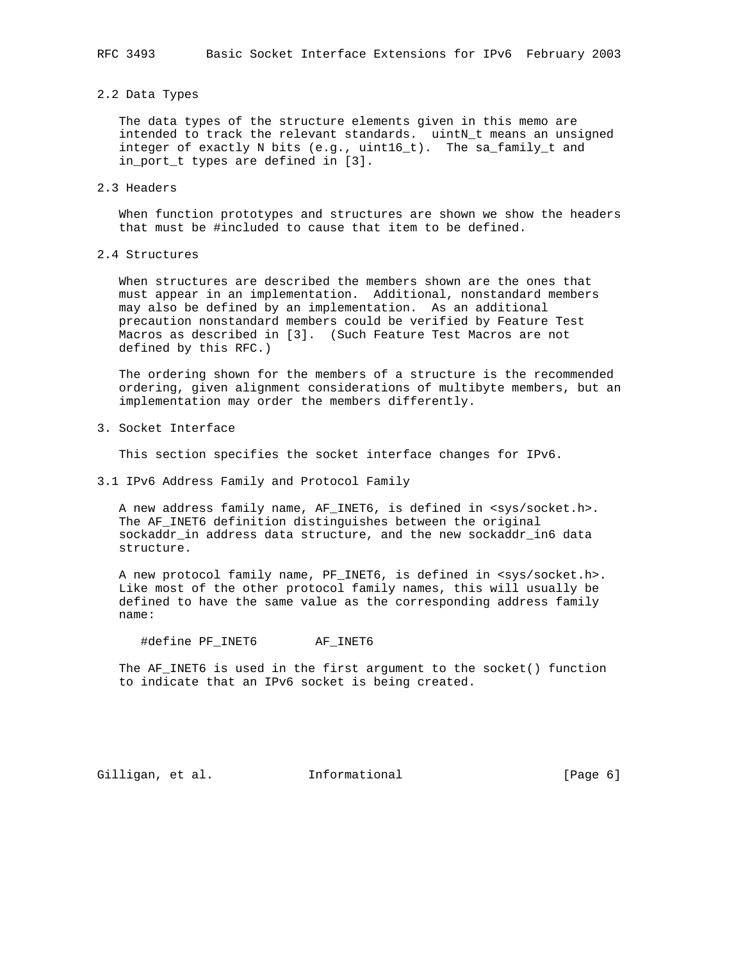#### 2.2 Data Types

 The data types of the structure elements given in this memo are intended to track the relevant standards. uintN\_t means an unsigned integer of exactly N bits (e.g., uint16\_t). The sa\_family\_t and in\_port\_t types are defined in [3].

## 2.3 Headers

 When function prototypes and structures are shown we show the headers that must be #included to cause that item to be defined.

## 2.4 Structures

 When structures are described the members shown are the ones that must appear in an implementation. Additional, nonstandard members may also be defined by an implementation. As an additional precaution nonstandard members could be verified by Feature Test Macros as described in [3]. (Such Feature Test Macros are not defined by this RFC.)

 The ordering shown for the members of a structure is the recommended ordering, given alignment considerations of multibyte members, but an implementation may order the members differently.

3. Socket Interface

This section specifies the socket interface changes for IPv6.

3.1 IPv6 Address Family and Protocol Family

 A new address family name, AF\_INET6, is defined in <sys/socket.h>. The AF\_INET6 definition distinguishes between the original sockaddr\_in address data structure, and the new sockaddr\_in6 data structure.

A new protocol family name, PF\_INET6, is defined in <sys/socket.h>. Like most of the other protocol family names, this will usually be defined to have the same value as the corresponding address family name:

#define PF\_INET6 AF\_INET6

 The AF\_INET6 is used in the first argument to the socket() function to indicate that an IPv6 socket is being created.

Gilligan, et al. 1nformational (Page 6)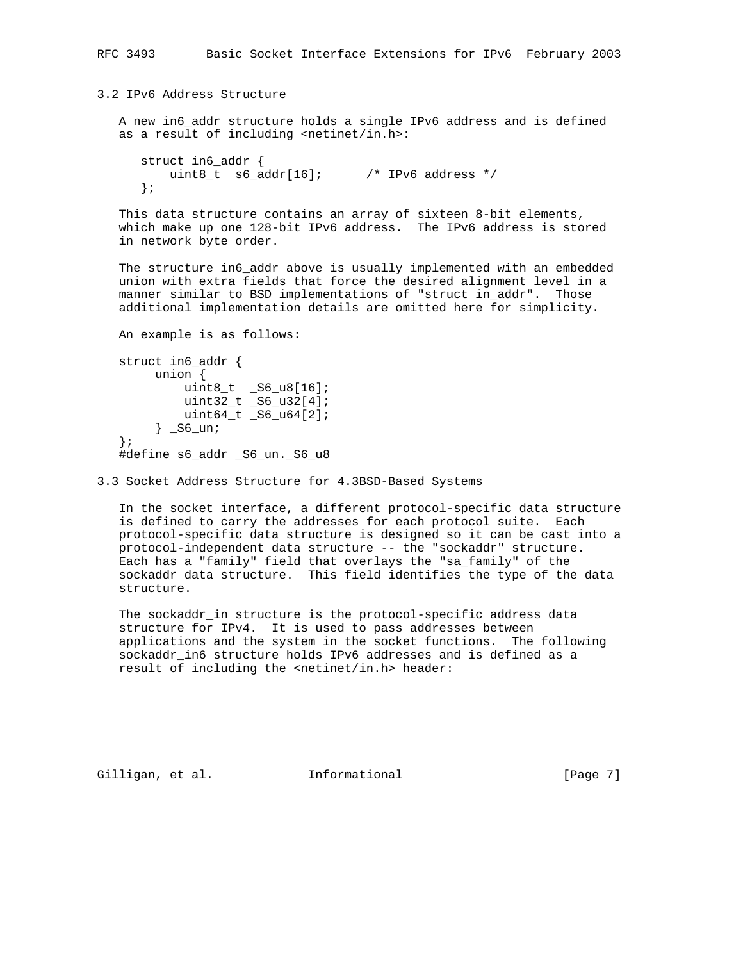3.2 IPv6 Address Structure

 A new in6\_addr structure holds a single IPv6 address and is defined as a result of including <netinet/in.h>:

```
 struct in6_addr {
   uint8_t s6_addr[16]; /* IPv6 address */
 };
```
 This data structure contains an array of sixteen 8-bit elements, which make up one 128-bit IPv6 address. The IPv6 address is stored in network byte order.

 The structure in6\_addr above is usually implemented with an embedded union with extra fields that force the desired alignment level in a manner similar to BSD implementations of "struct in\_addr". Those additional implementation details are omitted here for simplicity.

```
 An example is as follows:
   struct in6_addr {
       union {
uint8_t _S6_u8[16]; uint32_t _S6_u32[4];
           uint64_t _S6_u64[2];
       } _S6_un;
   };
  #define s6 addr S6 un. S6 u8
```
3.3 Socket Address Structure for 4.3BSD-Based Systems

 In the socket interface, a different protocol-specific data structure is defined to carry the addresses for each protocol suite. Each protocol-specific data structure is designed so it can be cast into a protocol-independent data structure -- the "sockaddr" structure. Each has a "family" field that overlays the "sa\_family" of the sockaddr data structure. This field identifies the type of the data structure.

 The sockaddr\_in structure is the protocol-specific address data structure for IPv4. It is used to pass addresses between applications and the system in the socket functions. The following sockaddr\_in6 structure holds IPv6 addresses and is defined as a result of including the <netinet/in.h> header:

Gilligan, et al. 1nformational (Page 7)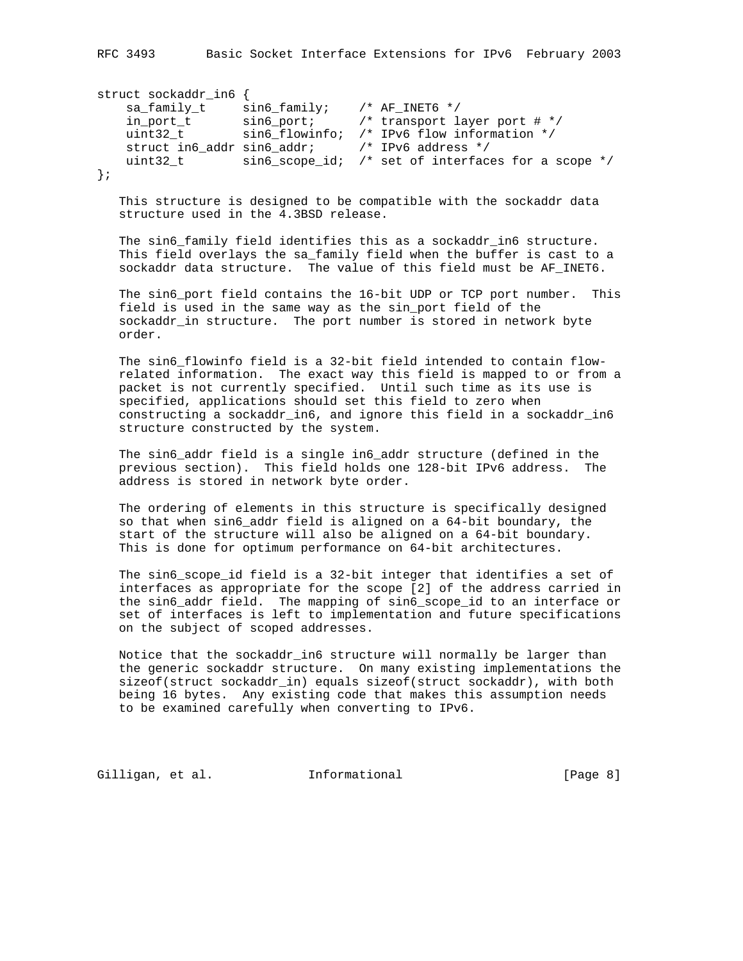RFC 3493 Basic Socket Interface Extensions for IPv6 February 2003

```
struct sockaddr_in6 {
 sa_family_t sin6_family; /* AF_INET6 */
 in_port_t sin6_port; /* transport layer port # */
 uint32_t sin6_flowinfo; /* IPv6 flow information */
 struct in6_addr sin6_addr; /* IPv6 address */
 uint32_t sin6_scope_id; /* set of interfaces for a scope */
};
```
 This structure is designed to be compatible with the sockaddr data structure used in the 4.3BSD release.

The sin6\_family field identifies this as a sockaddr\_in6 structure. This field overlays the sa\_family field when the buffer is cast to a sockaddr data structure. The value of this field must be AF\_INET6.

 The sin6\_port field contains the 16-bit UDP or TCP port number. This field is used in the same way as the sin\_port field of the sockaddr\_in structure. The port number is stored in network byte order.

 The sin6\_flowinfo field is a 32-bit field intended to contain flow related information. The exact way this field is mapped to or from a packet is not currently specified. Until such time as its use is specified, applications should set this field to zero when constructing a sockaddr\_in6, and ignore this field in a sockaddr\_in6 structure constructed by the system.

The sin6 addr field is a single in6 addr structure (defined in the previous section). This field holds one 128-bit IPv6 address. The address is stored in network byte order.

 The ordering of elements in this structure is specifically designed so that when sin6\_addr field is aligned on a 64-bit boundary, the start of the structure will also be aligned on a 64-bit boundary. This is done for optimum performance on 64-bit architectures.

 The sin6\_scope\_id field is a 32-bit integer that identifies a set of interfaces as appropriate for the scope [2] of the address carried in the sin6\_addr field. The mapping of sin6\_scope\_id to an interface or set of interfaces is left to implementation and future specifications on the subject of scoped addresses.

 Notice that the sockaddr\_in6 structure will normally be larger than the generic sockaddr structure. On many existing implementations the sizeof(struct sockaddr\_in) equals sizeof(struct sockaddr), with both being 16 bytes. Any existing code that makes this assumption needs to be examined carefully when converting to IPv6.

Gilligan, et al. 1nformational (Page 8)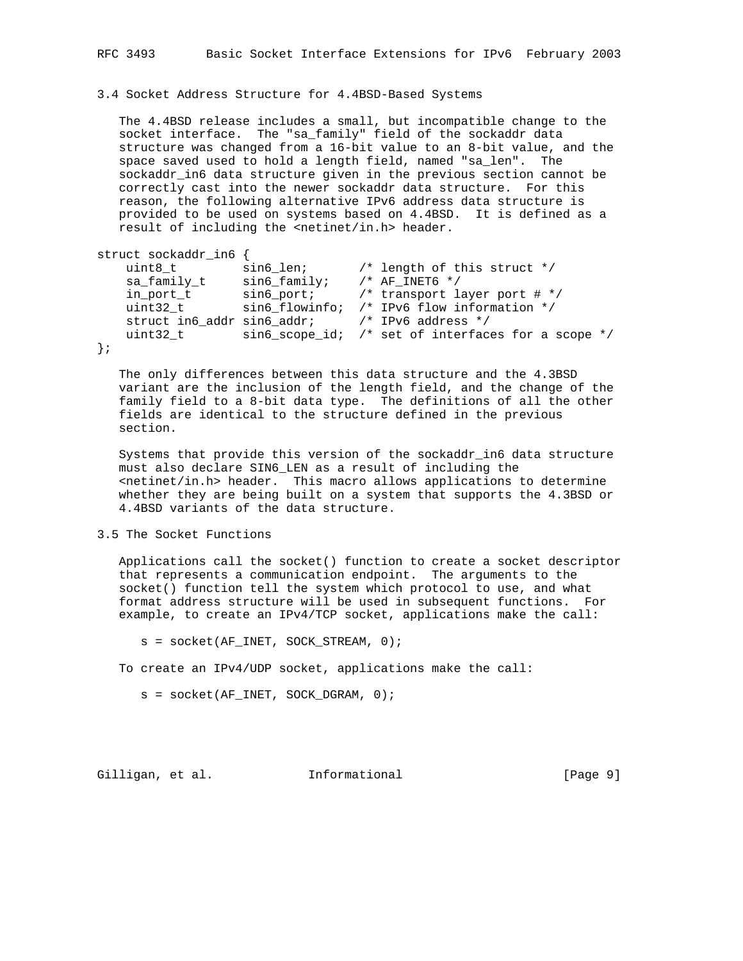3.4 Socket Address Structure for 4.4BSD-Based Systems

 The 4.4BSD release includes a small, but incompatible change to the socket interface. The "sa\_family" field of the sockaddr data structure was changed from a 16-bit value to an 8-bit value, and the space saved used to hold a length field, named "sa\_len". The sockaddr\_in6 data structure given in the previous section cannot be correctly cast into the newer sockaddr data structure. For this reason, the following alternative IPv6 address data structure is provided to be used on systems based on 4.4BSD. It is defined as a result of including the <netinet/in.h> header.

```
struct sockaddr_in6 {
```

```
 uint8_t sin6_len; /* length of this struct */
 sa_family_t sin6_family; /* AF_INET6 */
 in_port_t sin6_port; /* transport layer port # */
 uint32_t sin6_flowinfo; /* IPv6 flow information */
    struct in6_addr sin6_addr; /* IPv6 address */
   uint32_t sin6_scope_id; /* set of interfaces for a scope */
};
```
 The only differences between this data structure and the 4.3BSD variant are the inclusion of the length field, and the change of the family field to a 8-bit data type. The definitions of all the other fields are identical to the structure defined in the previous section.

 Systems that provide this version of the sockaddr\_in6 data structure must also declare SIN6\_LEN as a result of including the  $s$ netinet/in.h> header. This macro allows applications to determine whether they are being built on a system that supports the 4.3BSD or 4.4BSD variants of the data structure.

3.5 The Socket Functions

 Applications call the socket() function to create a socket descriptor that represents a communication endpoint. The arguments to the socket() function tell the system which protocol to use, and what format address structure will be used in subsequent functions. For example, to create an IPv4/TCP socket, applications make the call:

 $s =$  socket(AF\_INET, SOCK\_STREAM, 0);

To create an IPv4/UDP socket, applications make the call:

s = socket(AF\_INET, SOCK\_DGRAM, 0);

Gilligan, et al. Informational [Page 9]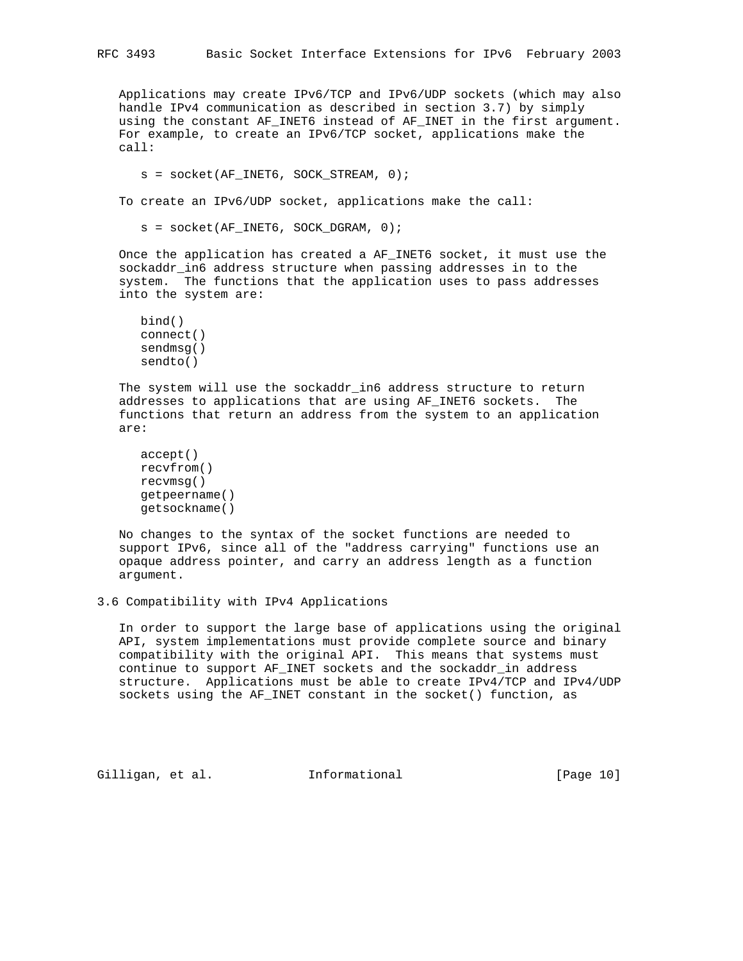Applications may create IPv6/TCP and IPv6/UDP sockets (which may also handle IPv4 communication as described in section 3.7) by simply using the constant AF\_INET6 instead of AF\_INET in the first argument. For example, to create an IPv6/TCP socket, applications make the call:

```
 s = socket(AF_INET6, SOCK_STREAM, 0);
```
To create an IPv6/UDP socket, applications make the call:

s = socket(AF\_INET6, SOCK\_DGRAM, 0);

 Once the application has created a AF\_INET6 socket, it must use the sockaddr\_in6 address structure when passing addresses in to the system. The functions that the application uses to pass addresses into the system are:

```
 bind()
 connect()
 sendmsg()
 sendto()
```
 The system will use the sockaddr\_in6 address structure to return addresses to applications that are using AF\_INET6 sockets. The functions that return an address from the system to an application are:

```
 accept()
 recvfrom()
 recvmsg()
 getpeername()
 getsockname()
```
 No changes to the syntax of the socket functions are needed to support IPv6, since all of the "address carrying" functions use an opaque address pointer, and carry an address length as a function argument.

3.6 Compatibility with IPv4 Applications

 In order to support the large base of applications using the original API, system implementations must provide complete source and binary compatibility with the original API. This means that systems must continue to support AF\_INET sockets and the sockaddr\_in address structure. Applications must be able to create IPv4/TCP and IPv4/UDP sockets using the AF\_INET constant in the socket() function, as

Gilligan, et al. Informational [Page 10]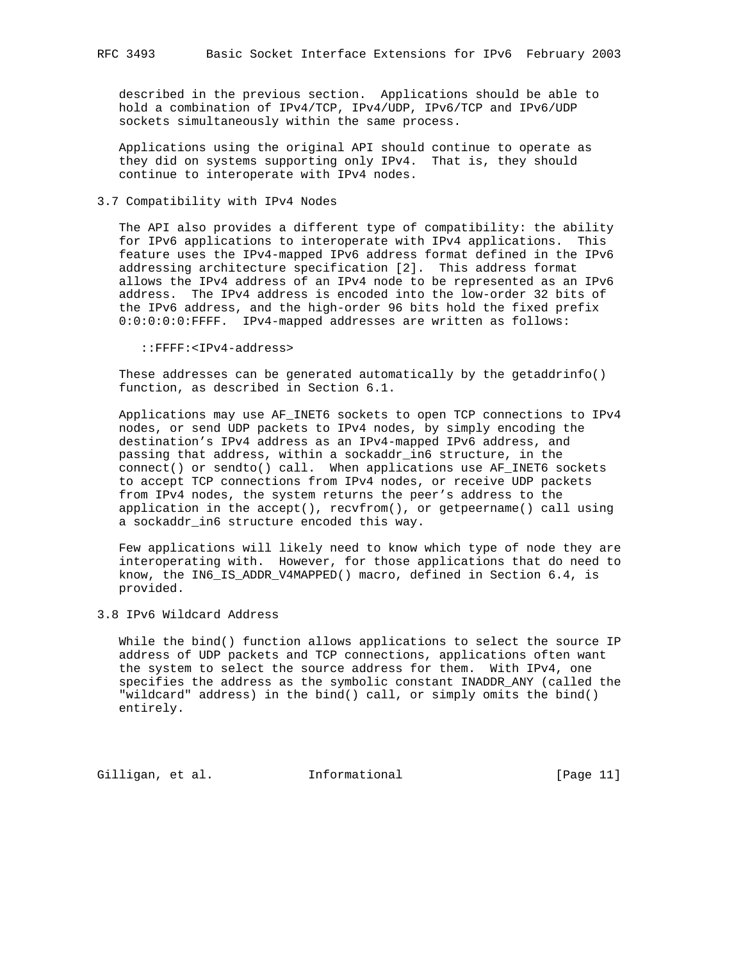described in the previous section. Applications should be able to hold a combination of IPv4/TCP, IPv4/UDP, IPv6/TCP and IPv6/UDP sockets simultaneously within the same process.

 Applications using the original API should continue to operate as they did on systems supporting only IPv4. That is, they should continue to interoperate with IPv4 nodes.

## 3.7 Compatibility with IPv4 Nodes

 The API also provides a different type of compatibility: the ability for IPv6 applications to interoperate with IPv4 applications. This feature uses the IPv4-mapped IPv6 address format defined in the IPv6 addressing architecture specification [2]. This address format allows the IPv4 address of an IPv4 node to be represented as an IPv6 address. The IPv4 address is encoded into the low-order 32 bits of the IPv6 address, and the high-order 96 bits hold the fixed prefix 0:0:0:0:0:FFFF. IPv4-mapped addresses are written as follows:

::FFFF:<IPv4-address>

 These addresses can be generated automatically by the getaddrinfo() function, as described in Section 6.1.

 Applications may use AF\_INET6 sockets to open TCP connections to IPv4 nodes, or send UDP packets to IPv4 nodes, by simply encoding the destination's IPv4 address as an IPv4-mapped IPv6 address, and passing that address, within a sockaddr\_in6 structure, in the connect() or sendto() call. When applications use AF\_INET6 sockets to accept TCP connections from IPv4 nodes, or receive UDP packets from IPv4 nodes, the system returns the peer's address to the application in the accept(), recvfrom(), or getpeername() call using a sockaddr\_in6 structure encoded this way.

 Few applications will likely need to know which type of node they are interoperating with. However, for those applications that do need to know, the IN6\_IS\_ADDR\_V4MAPPED() macro, defined in Section 6.4, is provided.

3.8 IPv6 Wildcard Address

 While the bind() function allows applications to select the source IP address of UDP packets and TCP connections, applications often want the system to select the source address for them. With IPv4, one specifies the address as the symbolic constant INADDR\_ANY (called the "wildcard" address) in the bind() call, or simply omits the bind() entirely.

Gilligan, et al. Informational [Page 11]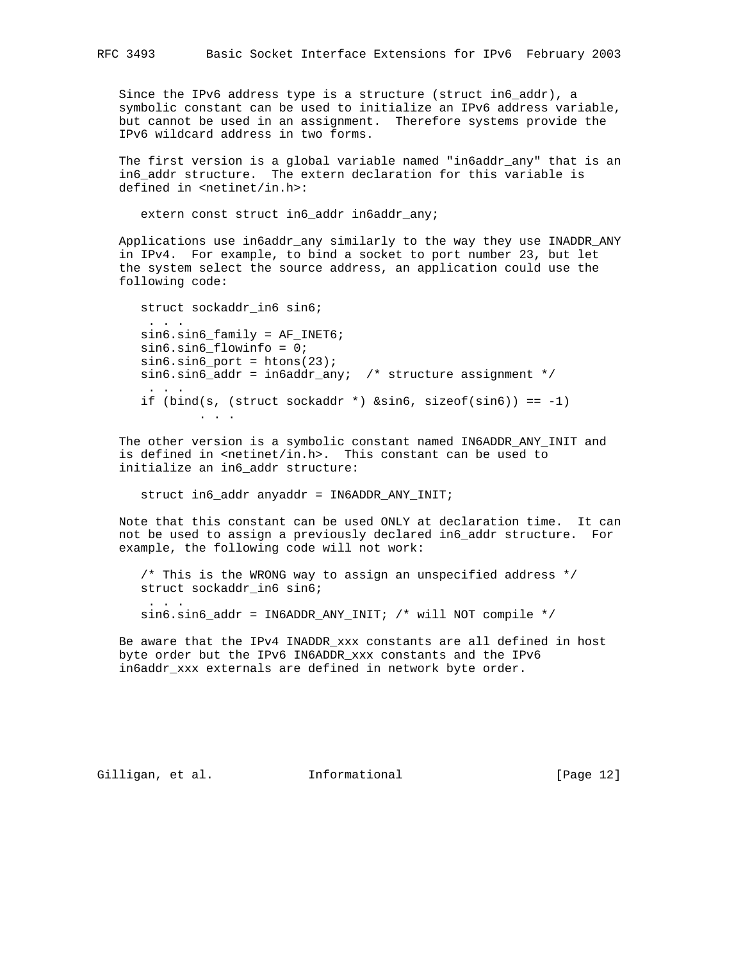Since the IPv6 address type is a structure (struct in6\_addr), a symbolic constant can be used to initialize an IPv6 address variable, but cannot be used in an assignment. Therefore systems provide the IPv6 wildcard address in two forms.

The first version is a global variable named "in6addr\_any" that is an in6\_addr structure. The extern declaration for this variable is defined in <netinet/in.h>:

extern const struct in6\_addr in6addr\_any;

 Applications use in6addr\_any similarly to the way they use INADDR\_ANY in IPv4. For example, to bind a socket to port number 23, but let the system select the source address, an application could use the following code:

```
 struct sockaddr_in6 sin6;
       . . .
      sin6.sin6_family = AF_INET6;
      sin6.sin6_flowinfo = 0;
     sin6.sin6\_port = htons(23);sinfo.sinfo\_addr = inbaddr_anyi /* structure assignment */
 . . .
     if (bind(s, (struct sockaddr *) \&sin 6, sizeof(sin6)) == -1)
             . . .
```
 The other version is a symbolic constant named IN6ADDR\_ANY\_INIT and is defined in  $\langle$ netinet/in.h>. This constant can be used to initialize an in6\_addr structure:

struct in6\_addr anyaddr = IN6ADDR\_ANY\_INIT;

 Note that this constant can be used ONLY at declaration time. It can not be used to assign a previously declared in6\_addr structure. For example, the following code will not work:

 /\* This is the WRONG way to assign an unspecified address \*/ struct sockaddr\_in6 sin6; . . . sin6.sin6\_addr = IN6ADDR\_ANY\_INIT; /\* will NOT compile \*/

 Be aware that the IPv4 INADDR\_xxx constants are all defined in host byte order but the IPv6 IN6ADDR\_xxx constants and the IPv6 in6addr\_xxx externals are defined in network byte order.

Gilligan, et al. Informational [Page 12]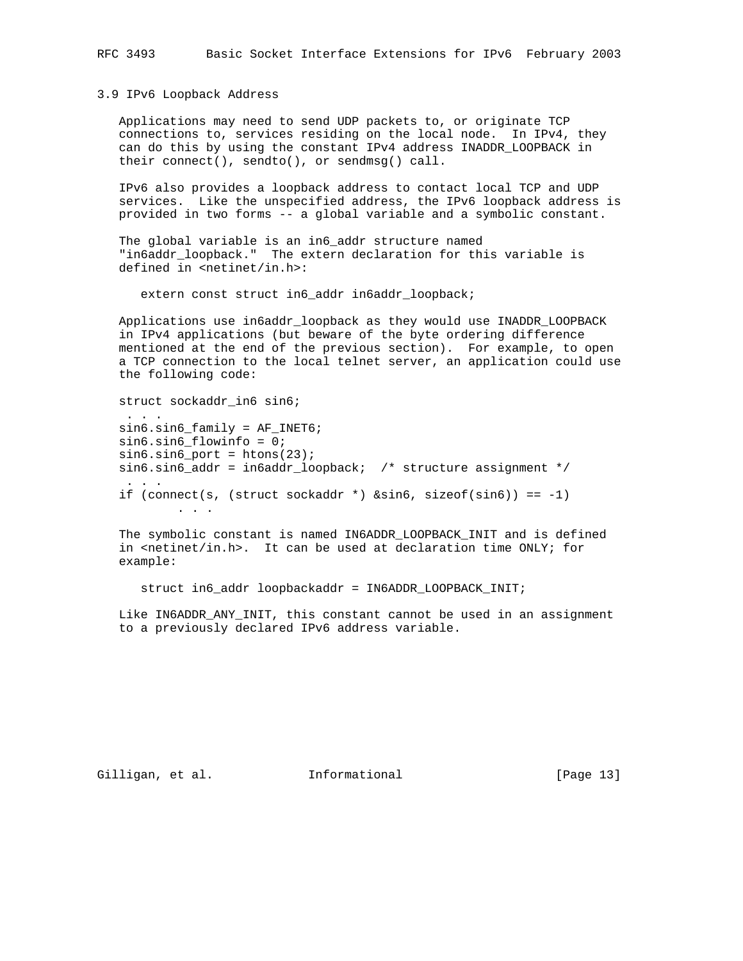RFC 3493 Basic Socket Interface Extensions for IPv6 February 2003

3.9 IPv6 Loopback Address

 Applications may need to send UDP packets to, or originate TCP connections to, services residing on the local node. In IPv4, they can do this by using the constant IPv4 address INADDR\_LOOPBACK in their connect(), sendto(), or sendmsg() call.

 IPv6 also provides a loopback address to contact local TCP and UDP services. Like the unspecified address, the IPv6 loopback address is provided in two forms -- a global variable and a symbolic constant.

 The global variable is an in6\_addr structure named "in6addr\_loopback." The extern declaration for this variable is defined in <netinet/in.h>:

extern const struct in6\_addr in6addr\_loopback;

 Applications use in6addr\_loopback as they would use INADDR\_LOOPBACK in IPv4 applications (but beware of the byte ordering difference mentioned at the end of the previous section). For example, to open a TCP connection to the local telnet server, an application could use the following code:

struct sockaddr\_in6 sin6;

 . . . sin6.sin6\_family = AF\_INET6; sin6.sin6\_flowinfo = 0;  $sin6.sin6\_port = htons(23);$  sin6.sin6\_addr = in6addr\_loopback; /\* structure assignment \*/ . . . if (connect(s, (struct sockaddr \*)  $\&sin6$ , sizeof(sin6)) == -1) . . .

 The symbolic constant is named IN6ADDR\_LOOPBACK\_INIT and is defined in <netinet/in.h>. It can be used at declaration time ONLY; for example:

struct in6\_addr loopbackaddr = IN6ADDR\_LOOPBACK\_INIT;

Like IN6ADDR ANY INIT, this constant cannot be used in an assignment to a previously declared IPv6 address variable.

Gilligan, et al. Informational [Page 13]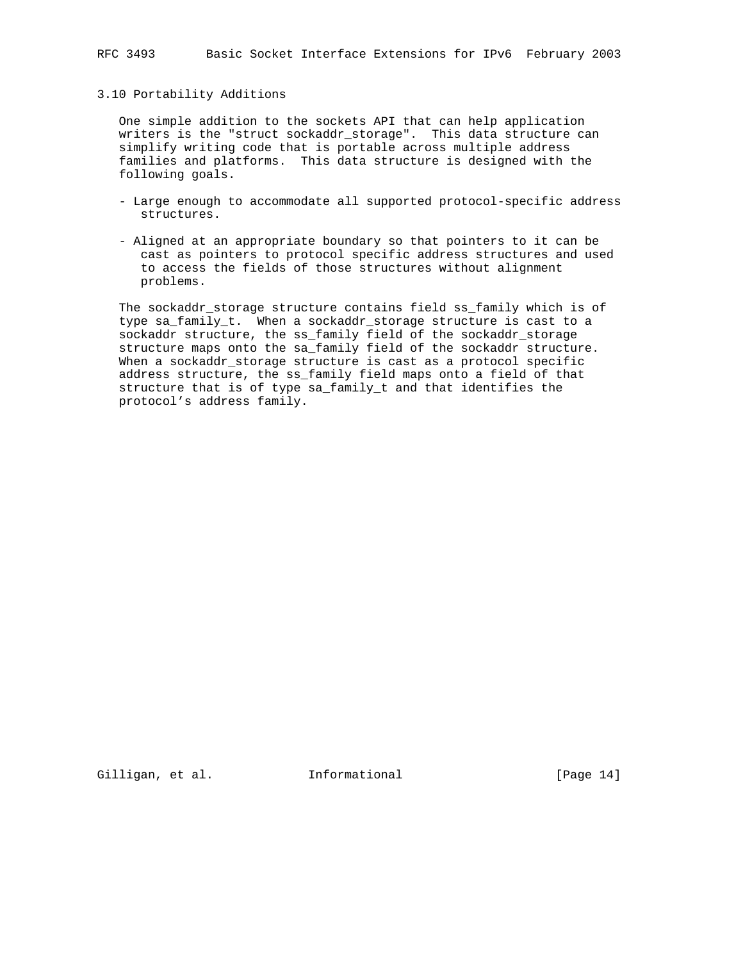### 3.10 Portability Additions

 One simple addition to the sockets API that can help application writers is the "struct sockaddr\_storage". This data structure can simplify writing code that is portable across multiple address families and platforms. This data structure is designed with the following goals.

- Large enough to accommodate all supported protocol-specific address structures.
- Aligned at an appropriate boundary so that pointers to it can be cast as pointers to protocol specific address structures and used to access the fields of those structures without alignment problems.

 The sockaddr\_storage structure contains field ss\_family which is of type sa\_family\_t. When a sockaddr\_storage structure is cast to a sockaddr structure, the ss\_family field of the sockaddr\_storage structure maps onto the sa\_family field of the sockaddr structure. When a sockaddr\_storage structure is cast as a protocol specific address structure, the ss\_family field maps onto a field of that structure that is of type sa\_family\_t and that identifies the protocol's address family.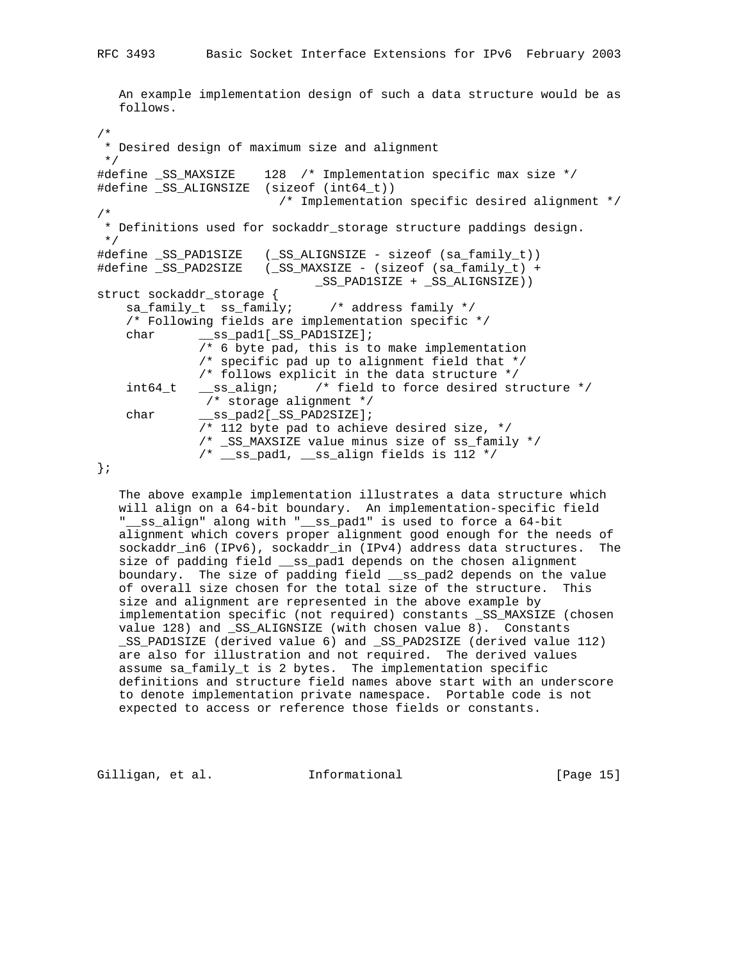```
 An example implementation design of such a data structure would be as
   follows.
/*
  * Desired design of maximum size and alignment
 */
#define _SS_MAXSIZE 128 /* Implementation specific max size */
#define _SS_ALIGNSIZE (sizeof (int64_t))
                        /* Implementation specific desired alignment */
/*
 * Definitions used for sockaddr_storage structure paddings design.
 */
#define _SS_PAD1SIZE (_SS_ALIGNSIZE - sizeof (sa_family_t))
#define _SS_PAD2SIZE (_SS_MAXSIZE - (sizeof (sa_family_t) +
                             _SS_PAD1SIZE + _SS_ALIGNSIZE))
struct sockaddr_storage {
    sa_family_t ss_family; /* address family */
    /* Following fields are implementation specific */
   char ___ss_pad1[_SS_PAD1SIZE];
              /* 6 byte pad, this is to make implementation
              /* specific pad up to alignment field that */
              /* follows explicit in the data structure */
 int64_t __ss_align; /* field to force desired structure */
 /* storage alignment */
 char __ss_pad2[_SS_PAD2SIZE];
 /* 112 byte pad to achieve desired size, */
              /* _SS_MAXSIZE value minus size of ss_family */
             /* __ss_pad1, __ss_align fields is 112 */
```
};

 The above example implementation illustrates a data structure which will align on a 64-bit boundary. An implementation-specific field "\_\_ss\_align" along with "\_\_ss\_pad1" is used to force a 64-bit alignment which covers proper alignment good enough for the needs of sockaddr\_in6 (IPv6), sockaddr\_in (IPv4) address data structures. The size of padding field \_\_ss\_pad1 depends on the chosen alignment boundary. The size of padding field \_\_ss\_pad2 depends on the value of overall size chosen for the total size of the structure. This size and alignment are represented in the above example by implementation specific (not required) constants \_SS\_MAXSIZE (chosen value 128) and \_SS\_ALIGNSIZE (with chosen value 8). Constants \_SS\_PAD1SIZE (derived value 6) and \_SS\_PAD2SIZE (derived value 112) are also for illustration and not required. The derived values assume sa\_family\_t is 2 bytes. The implementation specific definitions and structure field names above start with an underscore to denote implementation private namespace. Portable code is not expected to access or reference those fields or constants.

Gilligan, et al. Informational [Page 15]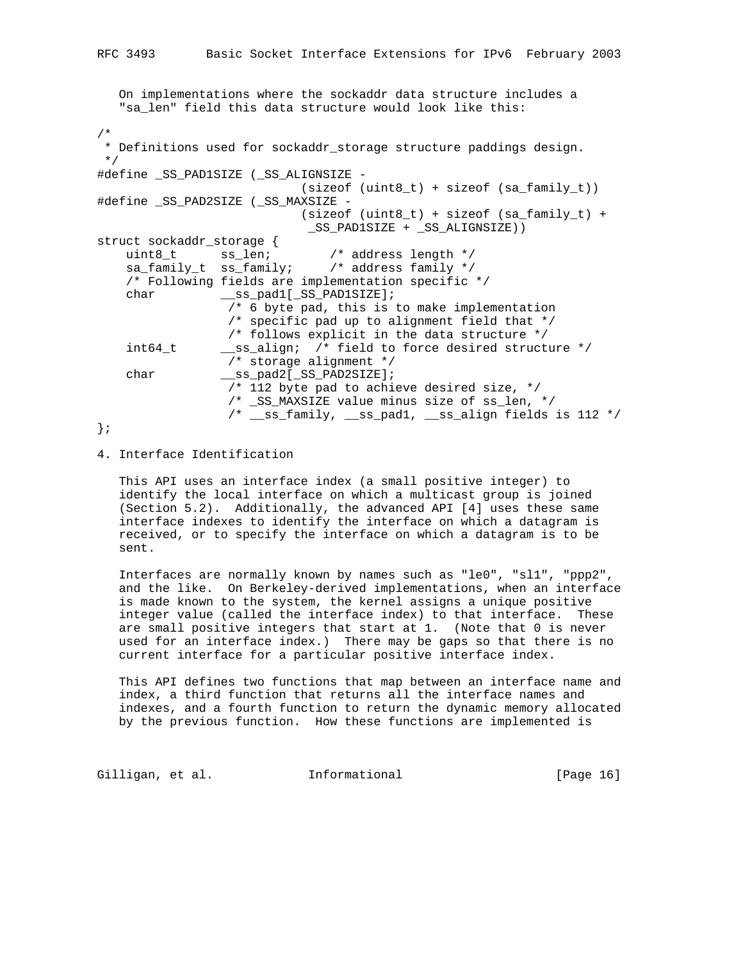On implementations where the sockaddr data structure includes a "sa\_len" field this data structure would look like this: /\* \* Definitions used for sockaddr\_storage structure paddings design. \*/ #define \_SS\_PAD1SIZE (\_SS\_ALIGNSIZE - (sizeof (uint8\_t) + sizeof (sa\_family\_t)) #define \_SS\_PAD2SIZE (\_SS\_MAXSIZE - (sizeof (uint8\_t) + sizeof (sa\_family\_t) + \_SS\_PAD1SIZE + \_SS\_ALIGNSIZE)) struct sockaddr\_storage { uint8\_t ss\_len; /\* address length \*/ sa\_family\_t ss\_family; /\* address family \*/ /\* Following fields are implementation specific \*/ char \_\_\_ss\_pad1[\_SS\_PAD1SIZE]; /\* 6 byte pad, this is to make implementation /\* specific pad up to alignment field that \*/ /\* follows explicit in the data structure \*/ int64\_t \_\_ss\_align; /\* field to force desired structure \*/ /\* storage alignment \*/ char \_\_\_ss\_pad2[\_SS\_PAD2SIZE]; /\* 112 byte pad to achieve desired size, \*/ /\* \_SS\_MAXSIZE value minus size of ss\_len, \*/ /\* \_\_ss\_family, \_\_ss\_pad1, \_\_ss\_align fields is 112 \*/ };

## 4. Interface Identification

 This API uses an interface index (a small positive integer) to identify the local interface on which a multicast group is joined (Section 5.2). Additionally, the advanced API [4] uses these same interface indexes to identify the interface on which a datagram is received, or to specify the interface on which a datagram is to be sent.

 Interfaces are normally known by names such as "le0", "sl1", "ppp2", and the like. On Berkeley-derived implementations, when an interface is made known to the system, the kernel assigns a unique positive integer value (called the interface index) to that interface. These are small positive integers that start at 1. (Note that 0 is never used for an interface index.) There may be gaps so that there is no current interface for a particular positive interface index.

 This API defines two functions that map between an interface name and index, a third function that returns all the interface names and indexes, and a fourth function to return the dynamic memory allocated by the previous function. How these functions are implemented is

Gilligan, et al. Informational [Page 16]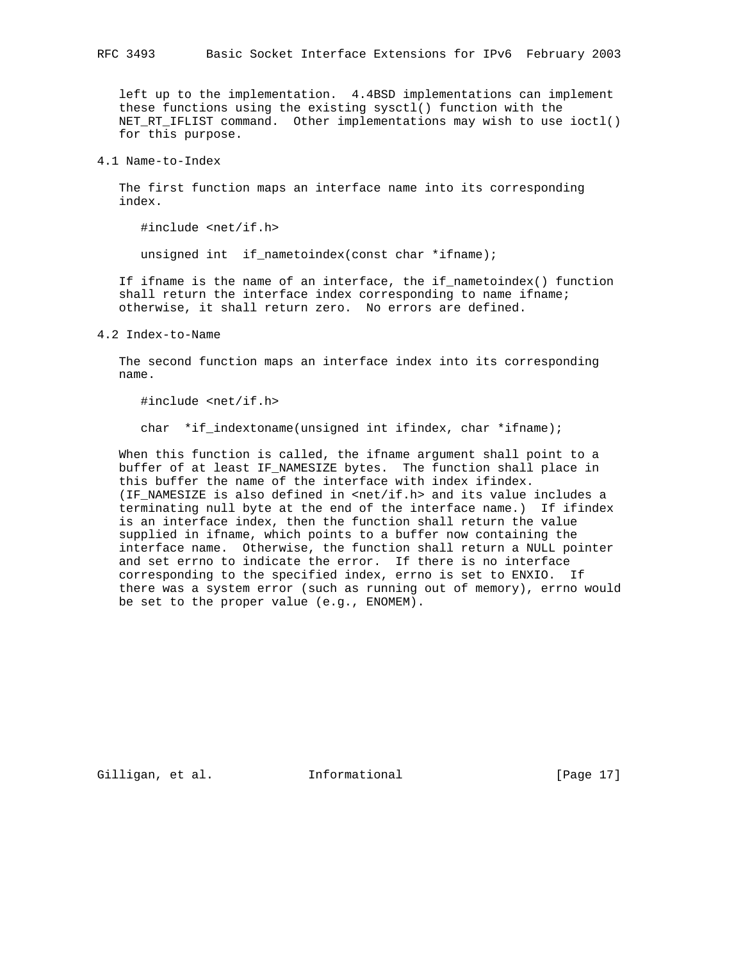left up to the implementation. 4.4BSD implementations can implement these functions using the existing sysctl() function with the NET\_RT\_IFLIST command. Other implementations may wish to use ioctl() for this purpose.

4.1 Name-to-Index

 The first function maps an interface name into its corresponding index.

#include <net/if.h>

unsigned int if\_nametoindex(const char \*ifname);

 If ifname is the name of an interface, the if\_nametoindex() function shall return the interface index corresponding to name ifname; otherwise, it shall return zero. No errors are defined.

4.2 Index-to-Name

 The second function maps an interface index into its corresponding name.

#include <net/if.h>

char \*if\_indextoname(unsigned int ifindex, char \*ifname);

 When this function is called, the ifname argument shall point to a buffer of at least IF\_NAMESIZE bytes. The function shall place in this buffer the name of the interface with index ifindex. (IF\_NAMESIZE is also defined in <net/if.h> and its value includes a terminating null byte at the end of the interface name.) If ifindex is an interface index, then the function shall return the value supplied in ifname, which points to a buffer now containing the interface name. Otherwise, the function shall return a NULL pointer and set errno to indicate the error. If there is no interface corresponding to the specified index, errno is set to ENXIO. If there was a system error (such as running out of memory), errno would be set to the proper value (e.g., ENOMEM).

Gilligan, et al. Informational [Page 17]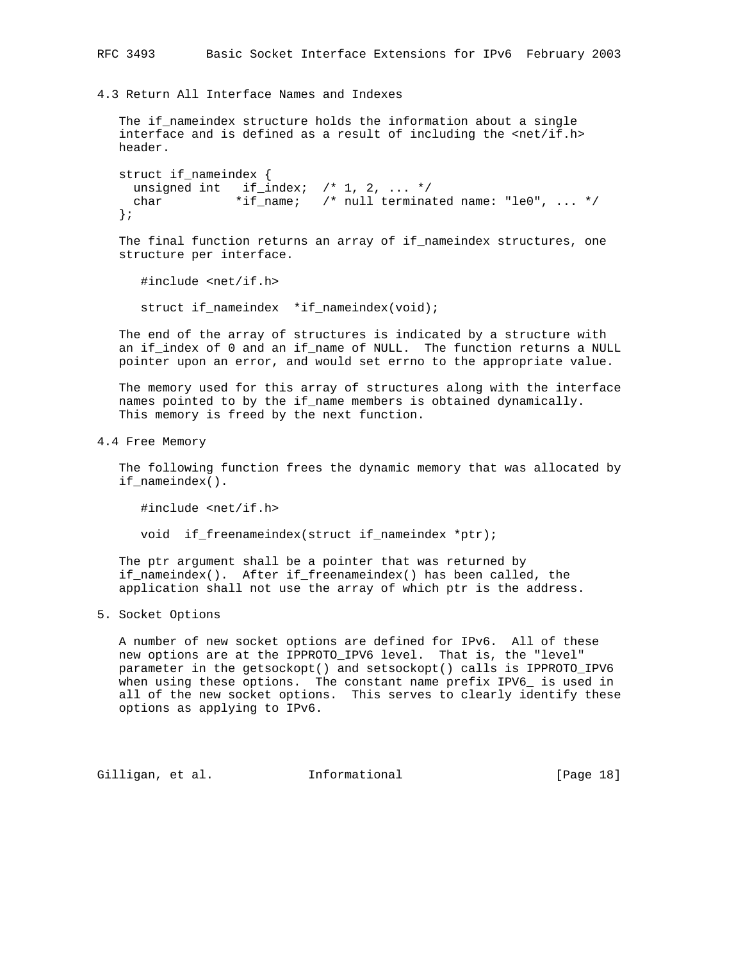4.3 Return All Interface Names and Indexes

 The if\_nameindex structure holds the information about a single interface and is defined as a result of including the <net/if.h> header.

```
 struct if_nameindex {
 unsigned int if_index; /* 1, 2, ... */char *if\_name: /* null terminated name: "le0", ... */ };
```
 The final function returns an array of if\_nameindex structures, one structure per interface.

#include <net/if.h>

struct if\_nameindex \*if\_nameindex(void);

 The end of the array of structures is indicated by a structure with an if\_index of 0 and an if\_name of NULL. The function returns a NULL pointer upon an error, and would set errno to the appropriate value.

 The memory used for this array of structures along with the interface names pointed to by the if\_name members is obtained dynamically. This memory is freed by the next function.

4.4 Free Memory

 The following function frees the dynamic memory that was allocated by if\_nameindex().

#include <net/if.h>

void if\_freenameindex(struct if\_nameindex \*ptr);

 The ptr argument shall be a pointer that was returned by if\_nameindex(). After if\_freenameindex() has been called, the application shall not use the array of which ptr is the address.

5. Socket Options

 A number of new socket options are defined for IPv6. All of these new options are at the IPPROTO\_IPV6 level. That is, the "level" parameter in the getsockopt() and setsockopt() calls is IPPROTO\_IPV6 when using these options. The constant name prefix IPV6\_ is used in all of the new socket options. This serves to clearly identify these options as applying to IPv6.

Gilligan, et al. Informational [Page 18]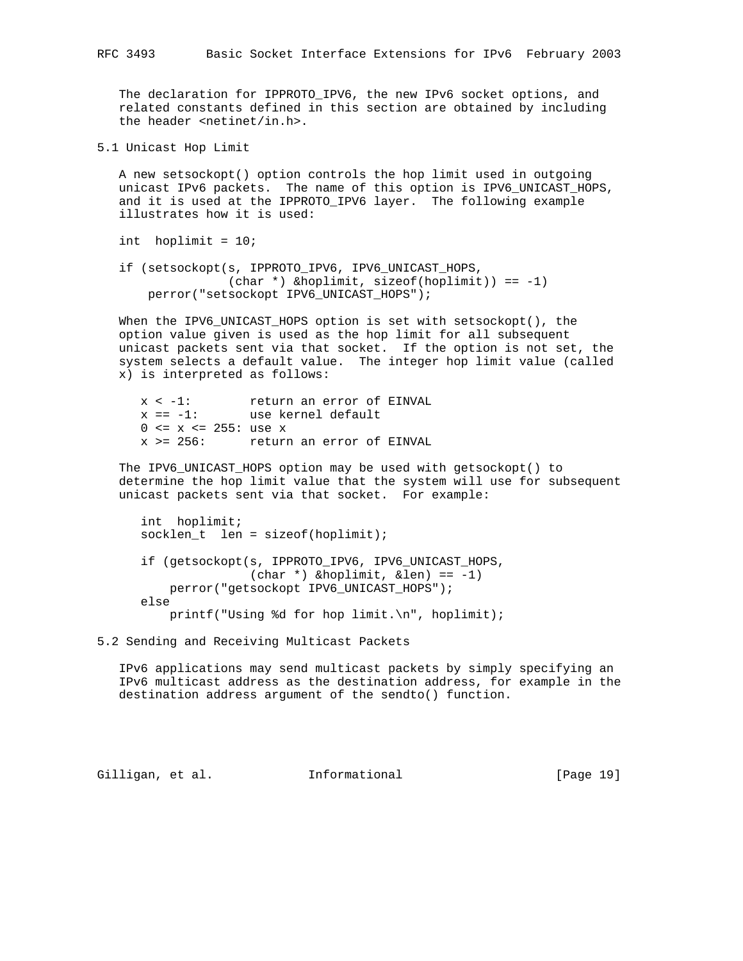The declaration for IPPROTO\_IPV6, the new IPv6 socket options, and related constants defined in this section are obtained by including the header <netinet/in.h>.

5.1 Unicast Hop Limit

 A new setsockopt() option controls the hop limit used in outgoing unicast IPv6 packets. The name of this option is IPV6\_UNICAST\_HOPS, and it is used at the IPPROTO\_IPV6 layer. The following example illustrates how it is used:

int hoplimit = 10;

 if (setsockopt(s, IPPROTO\_IPV6, IPV6\_UNICAST\_HOPS, (char \*) &hoplimit, sizeof(hoplimit)) == -1) perror("setsockopt IPV6\_UNICAST\_HOPS");

 When the IPV6\_UNICAST\_HOPS option is set with setsockopt(), the option value given is used as the hop limit for all subsequent unicast packets sent via that socket. If the option is not set, the system selects a default value. The integer hop limit value (called x) is interpreted as follows:

 x < -1: return an error of EINVAL  $x = -1:$  is the community of  $x = -1:$  $0 \le x \le 255$ : use x x >= 256: return an error of EINVAL

 The IPV6\_UNICAST\_HOPS option may be used with getsockopt() to determine the hop limit value that the system will use for subsequent unicast packets sent via that socket. For example:

 int hoplimit; socklen\_t len = sizeof(hoplimit); if (getsockopt(s, IPPROTO\_IPV6, IPV6\_UNICAST\_HOPS, (char \*) &hoplimit, &len) == -1) perror("getsockopt IPV6\_UNICAST\_HOPS"); else printf("Using %d for hop limit.\n", hoplimit);

5.2 Sending and Receiving Multicast Packets

 IPv6 applications may send multicast packets by simply specifying an IPv6 multicast address as the destination address, for example in the destination address argument of the sendto() function.

Gilligan, et al. Informational [Page 19]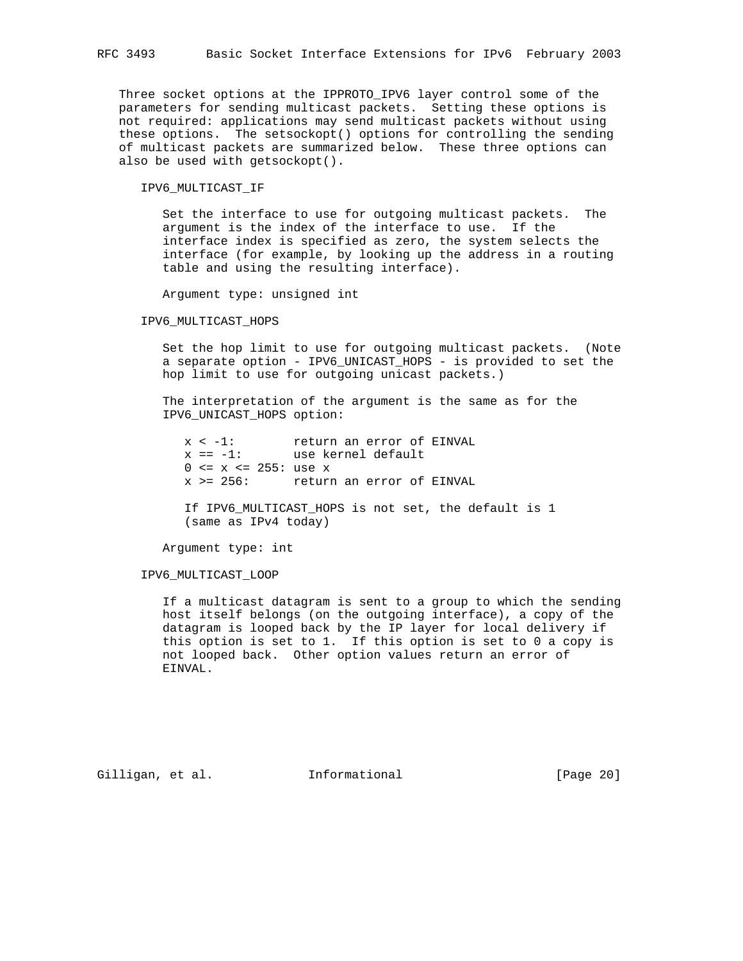Three socket options at the IPPROTO\_IPV6 layer control some of the parameters for sending multicast packets. Setting these options is not required: applications may send multicast packets without using these options. The setsockopt() options for controlling the sending of multicast packets are summarized below. These three options can also be used with getsockopt().

IPV6\_MULTICAST\_IF

 Set the interface to use for outgoing multicast packets. The argument is the index of the interface to use. If the interface index is specified as zero, the system selects the interface (for example, by looking up the address in a routing table and using the resulting interface).

Argument type: unsigned int

## IPV6\_MULTICAST\_HOPS

 Set the hop limit to use for outgoing multicast packets. (Note a separate option - IPV6\_UNICAST\_HOPS - is provided to set the hop limit to use for outgoing unicast packets.)

 The interpretation of the argument is the same as for the IPV6\_UNICAST\_HOPS option:

 x < -1: return an error of EINVAL x == -1: use kernel default  $0 \le x \le 255$ : use x x >= 256: return an error of EINVAL

> If IPV6\_MULTICAST\_HOPS is not set, the default is 1 (same as IPv4 today)

Argument type: int

IPV6\_MULTICAST\_LOOP

 If a multicast datagram is sent to a group to which the sending host itself belongs (on the outgoing interface), a copy of the datagram is looped back by the IP layer for local delivery if this option is set to 1. If this option is set to 0 a copy is not looped back. Other option values return an error of EINVAL.

Gilligan, et al. Informational [Page 20]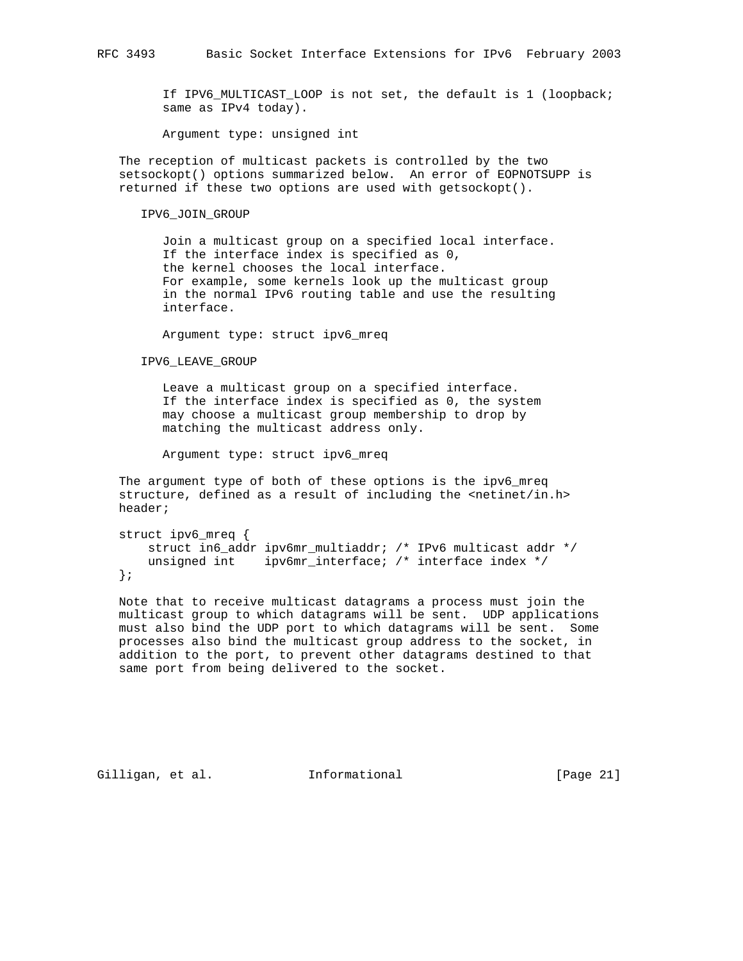If IPV6\_MULTICAST\_LOOP is not set, the default is 1 (loopback; same as IPv4 today).

Argument type: unsigned int

 The reception of multicast packets is controlled by the two setsockopt() options summarized below. An error of EOPNOTSUPP is returned if these two options are used with getsockopt().

## IPV6\_JOIN\_GROUP

 Join a multicast group on a specified local interface. If the interface index is specified as 0, the kernel chooses the local interface. For example, some kernels look up the multicast group in the normal IPv6 routing table and use the resulting interface.

Argument type: struct ipv6\_mreq

IPV6\_LEAVE\_GROUP

 Leave a multicast group on a specified interface. If the interface index is specified as 0, the system may choose a multicast group membership to drop by matching the multicast address only.

Argument type: struct ipv6\_mreq

 The argument type of both of these options is the ipv6\_mreq structure, defined as a result of including the <netinet/in.h> header;

```
 struct ipv6_mreq {
    struct in6_addr ipv6mr_multiaddr; /* IPv6 multicast addr */
   unsigned int ipv6mr_interface; /* interface index */
 };
```
 Note that to receive multicast datagrams a process must join the multicast group to which datagrams will be sent. UDP applications must also bind the UDP port to which datagrams will be sent. Some processes also bind the multicast group address to the socket, in addition to the port, to prevent other datagrams destined to that same port from being delivered to the socket.

Gilligan, et al. Informational [Page 21]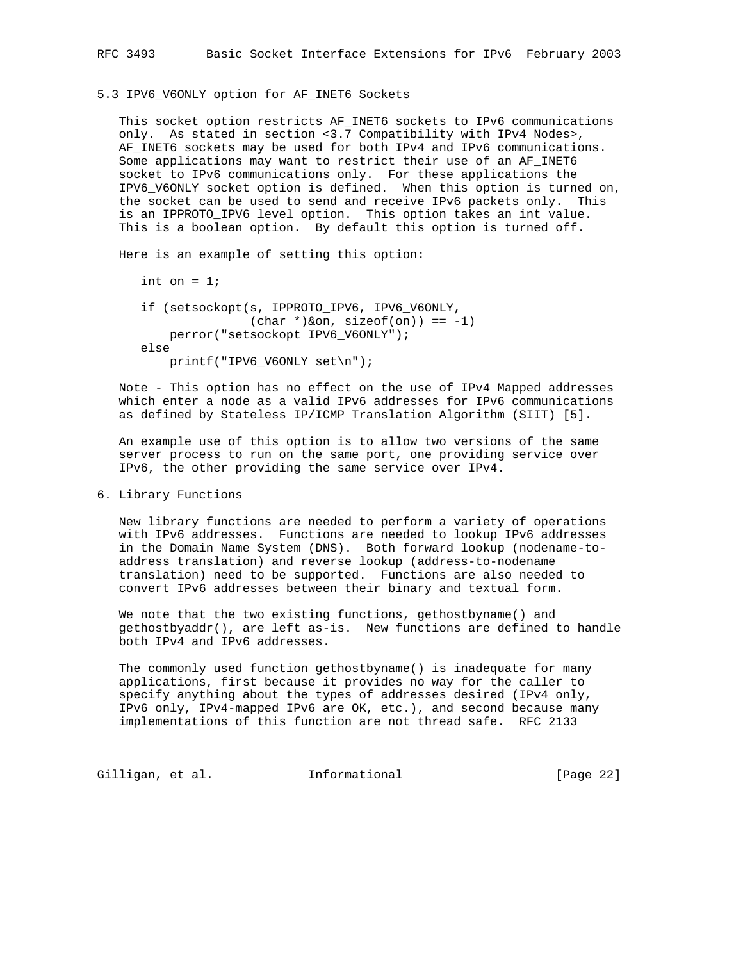5.3 IPV6\_V6ONLY option for AF\_INET6 Sockets

 This socket option restricts AF\_INET6 sockets to IPv6 communications only. As stated in section <3.7 Compatibility with IPv4 Nodes>, AF\_INET6 sockets may be used for both IPv4 and IPv6 communications. Some applications may want to restrict their use of an AF\_INET6 socket to IPv6 communications only. For these applications the IPV6\_V6ONLY socket option is defined. When this option is turned on, the socket can be used to send and receive IPv6 packets only. This is an IPPROTO\_IPV6 level option. This option takes an int value. This is a boolean option. By default this option is turned off.

Here is an example of setting this option:

```
int on = 1;
 if (setsockopt(s, IPPROTO_IPV6, IPV6_V6ONLY,
              (char *)&on, sizeof(on)) == -1)
    perror("setsockopt IPV6_V6ONLY");
 else
     printf("IPV6_V6ONLY set\n");
```
 Note - This option has no effect on the use of IPv4 Mapped addresses which enter a node as a valid IPv6 addresses for IPv6 communications as defined by Stateless IP/ICMP Translation Algorithm (SIIT) [5].

 An example use of this option is to allow two versions of the same server process to run on the same port, one providing service over IPv6, the other providing the same service over IPv4.

6. Library Functions

 New library functions are needed to perform a variety of operations with IPv6 addresses. Functions are needed to lookup IPv6 addresses in the Domain Name System (DNS). Both forward lookup (nodename-to address translation) and reverse lookup (address-to-nodename translation) need to be supported. Functions are also needed to convert IPv6 addresses between their binary and textual form.

 We note that the two existing functions, gethostbyname() and gethostbyaddr(), are left as-is. New functions are defined to handle both IPv4 and IPv6 addresses.

 The commonly used function gethostbyname() is inadequate for many applications, first because it provides no way for the caller to specify anything about the types of addresses desired (IPv4 only, IPv6 only, IPv4-mapped IPv6 are OK, etc.), and second because many implementations of this function are not thread safe. RFC 2133

Gilligan, et al. 1nformational [Page 22]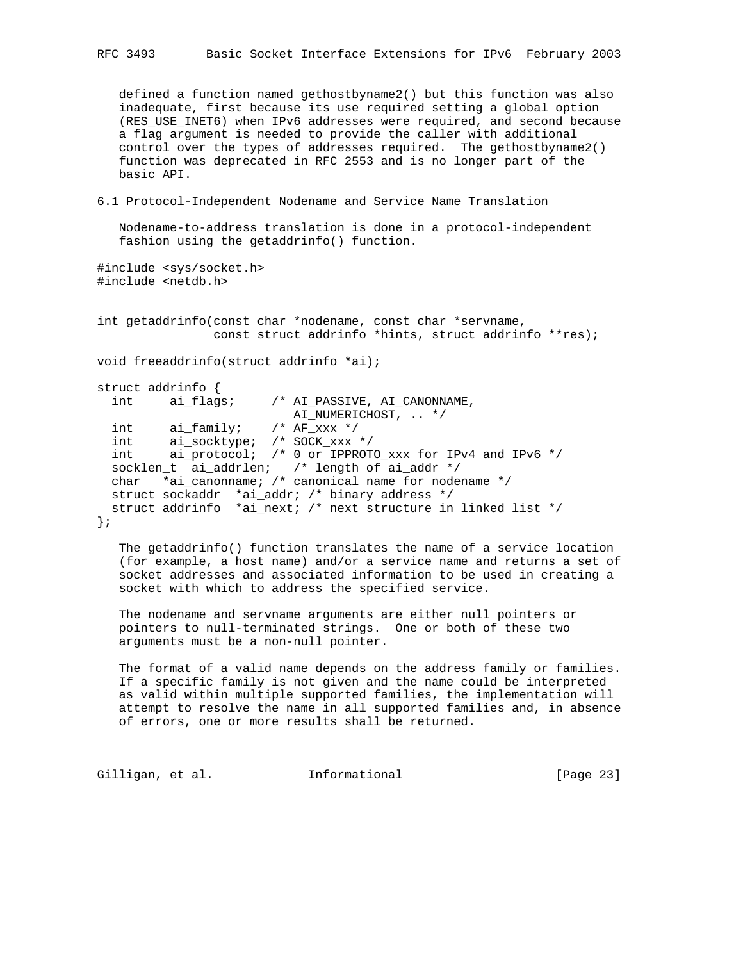defined a function named gethostbyname2() but this function was also inadequate, first because its use required setting a global option (RES\_USE\_INET6) when IPv6 addresses were required, and second because a flag argument is needed to provide the caller with additional control over the types of addresses required. The gethostbyname2() function was deprecated in RFC 2553 and is no longer part of the basic API.

6.1 Protocol-Independent Nodename and Service Name Translation

 Nodename-to-address translation is done in a protocol-independent fashion using the getaddrinfo() function.

```
#include <sys/socket.h>
#include <netdb.h>
```
int getaddrinfo(const char \*nodename, const char \*servname, const struct addrinfo \*hints, struct addrinfo \*\*res);

void freeaddrinfo(struct addrinfo \*ai);

```
struct addrinfo {
  int ai_flags; /* AI_PASSIVE, AI_CANONNAME,
                         AI_NUMERICHOST, .. */
 int ai_family; /* AF_xxx */
 int ai_socktype; /* SOCK_xxx */
 int ai_protocol; /* 0 or IPPROTO_xxx for IPv4 and IPv6 */
 socklen_t ai_addrlen; /* length of ai_addr */
 char *ai_canonname; /* canonical name for nodename */
  struct sockaddr *ai_addr; /* binary address */
  struct addrinfo *ai_next; /* next structure in linked list */
};
```
 The getaddrinfo() function translates the name of a service location (for example, a host name) and/or a service name and returns a set of socket addresses and associated information to be used in creating a socket with which to address the specified service.

 The nodename and servname arguments are either null pointers or pointers to null-terminated strings. One or both of these two arguments must be a non-null pointer.

 The format of a valid name depends on the address family or families. If a specific family is not given and the name could be interpreted as valid within multiple supported families, the implementation will attempt to resolve the name in all supported families and, in absence of errors, one or more results shall be returned.

Gilligan, et al. 1nformational [Page 23]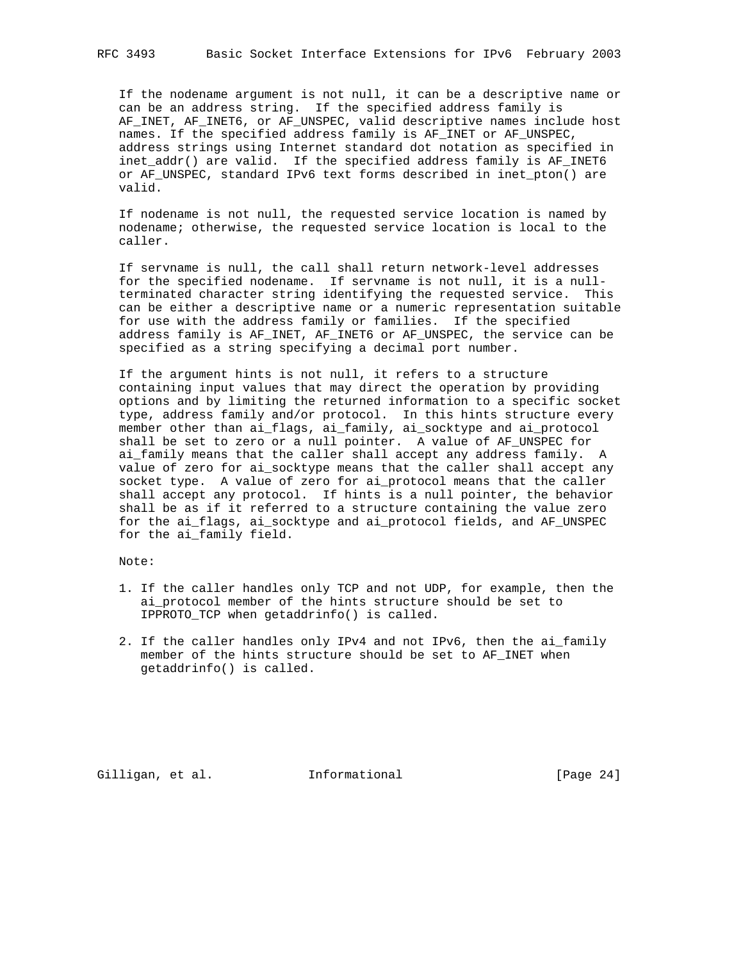If the nodename argument is not null, it can be a descriptive name or can be an address string. If the specified address family is AF\_INET, AF\_INET6, or AF\_UNSPEC, valid descriptive names include host names. If the specified address family is AF INET or AF UNSPEC, address strings using Internet standard dot notation as specified in inet\_addr() are valid. If the specified address family is AF\_INET6 or AF\_UNSPEC, standard IPv6 text forms described in inet\_pton() are valid.

 If nodename is not null, the requested service location is named by nodename; otherwise, the requested service location is local to the caller.

 If servname is null, the call shall return network-level addresses for the specified nodename. If servname is not null, it is a null terminated character string identifying the requested service. This can be either a descriptive name or a numeric representation suitable for use with the address family or families. If the specified address family is AF\_INET, AF\_INET6 or AF\_UNSPEC, the service can be specified as a string specifying a decimal port number.

 If the argument hints is not null, it refers to a structure containing input values that may direct the operation by providing options and by limiting the returned information to a specific socket type, address family and/or protocol. In this hints structure every member other than ai\_flags, ai\_family, ai\_socktype and ai\_protocol shall be set to zero or a null pointer. A value of AF\_UNSPEC for ai family means that the caller shall accept any address family. A value of zero for ai\_socktype means that the caller shall accept any socket type. A value of zero for ai\_protocol means that the caller shall accept any protocol. If hints is a null pointer, the behavior shall be as if it referred to a structure containing the value zero for the ai\_flags, ai\_socktype and ai\_protocol fields, and AF\_UNSPEC for the ai\_family field.

Note:

- 1. If the caller handles only TCP and not UDP, for example, then the ai\_protocol member of the hints structure should be set to IPPROTO\_TCP when getaddrinfo() is called.
- 2. If the caller handles only IPv4 and not IPv6, then the ai\_family member of the hints structure should be set to AF\_INET when getaddrinfo() is called.

Gilligan, et al. 1nformational [Page 24]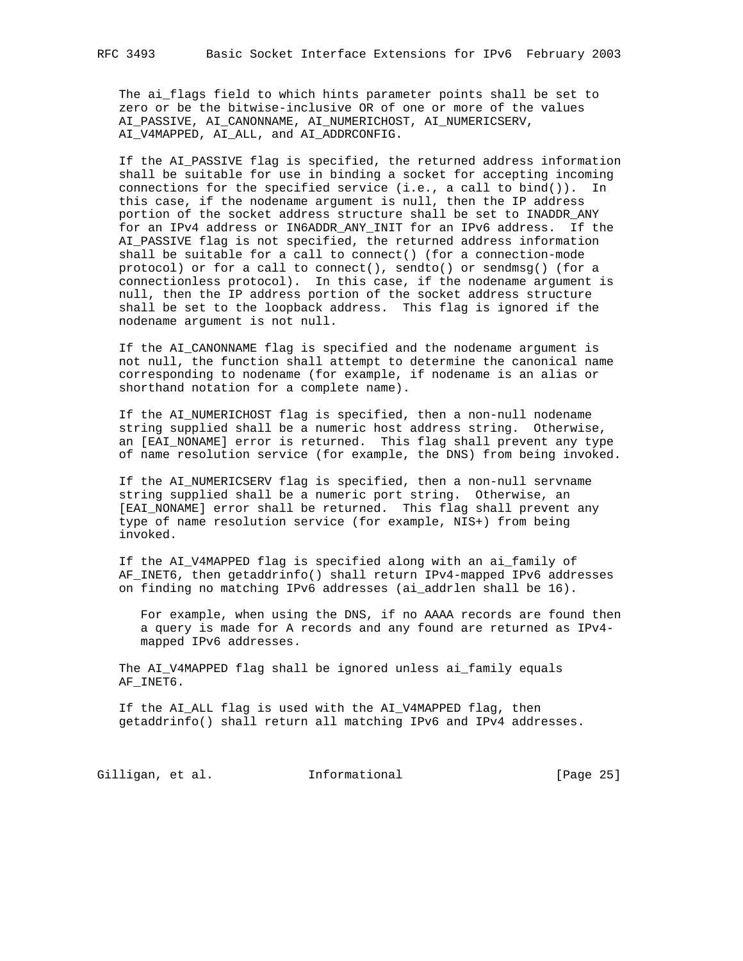The ai\_flags field to which hints parameter points shall be set to zero or be the bitwise-inclusive OR of one or more of the values AI\_PASSIVE, AI\_CANONNAME, AI\_NUMERICHOST, AI\_NUMERICSERV, AI\_V4MAPPED, AI\_ALL, and AI\_ADDRCONFIG.

 If the AI\_PASSIVE flag is specified, the returned address information shall be suitable for use in binding a socket for accepting incoming connections for the specified service (i.e., a call to bind()). In this case, if the nodename argument is null, then the IP address portion of the socket address structure shall be set to INADDR\_ANY for an IPv4 address or IN6ADDR\_ANY\_INIT for an IPv6 address. If the AI\_PASSIVE flag is not specified, the returned address information shall be suitable for a call to connect() (for a connection-mode protocol) or for a call to connect(), sendto() or sendmsg() (for a connectionless protocol). In this case, if the nodename argument is null, then the IP address portion of the socket address structure shall be set to the loopback address. This flag is ignored if the nodename argument is not null.

 If the AI\_CANONNAME flag is specified and the nodename argument is not null, the function shall attempt to determine the canonical name corresponding to nodename (for example, if nodename is an alias or shorthand notation for a complete name).

 If the AI\_NUMERICHOST flag is specified, then a non-null nodename string supplied shall be a numeric host address string. Otherwise, an [EAI\_NONAME] error is returned. This flag shall prevent any type of name resolution service (for example, the DNS) from being invoked.

 If the AI\_NUMERICSERV flag is specified, then a non-null servname string supplied shall be a numeric port string. Otherwise, an [EAI\_NONAME] error shall be returned. This flag shall prevent any type of name resolution service (for example, NIS+) from being invoked.

 If the AI\_V4MAPPED flag is specified along with an ai\_family of AF\_INET6, then getaddrinfo() shall return IPv4-mapped IPv6 addresses on finding no matching IPv6 addresses (ai\_addrlen shall be 16).

 For example, when using the DNS, if no AAAA records are found then a query is made for A records and any found are returned as IPv4 mapped IPv6 addresses.

 The AI\_V4MAPPED flag shall be ignored unless ai\_family equals AF\_INET6.

 If the AI\_ALL flag is used with the AI\_V4MAPPED flag, then getaddrinfo() shall return all matching IPv6 and IPv4 addresses.

Gilligan, et al. 1nformational [Page 25]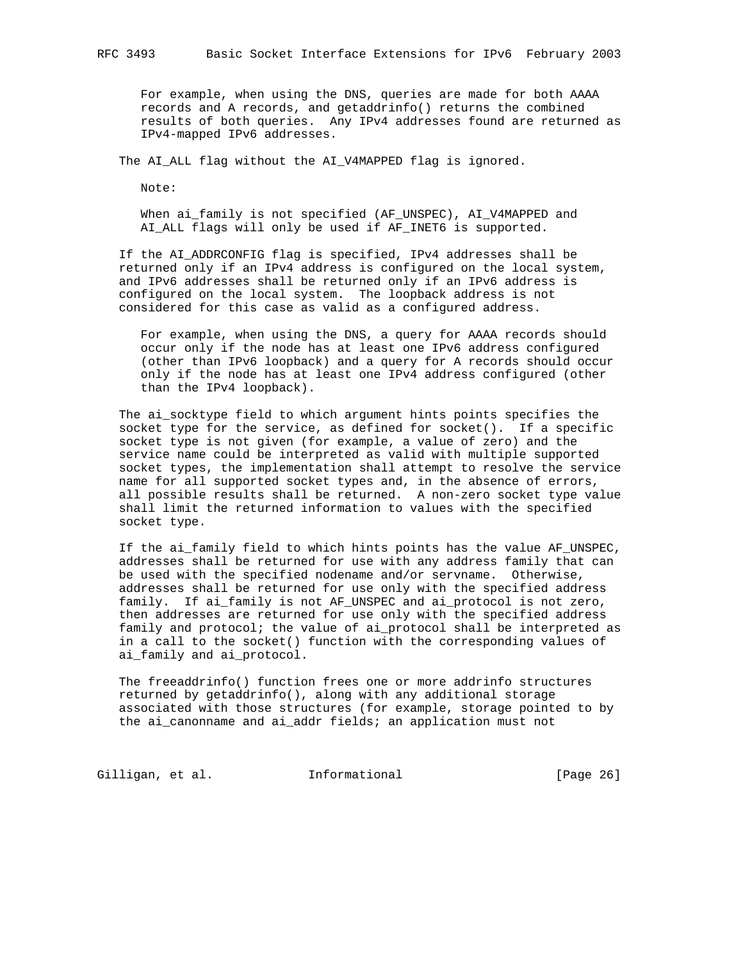For example, when using the DNS, queries are made for both AAAA records and A records, and getaddrinfo() returns the combined results of both queries. Any IPv4 addresses found are returned as IPv4-mapped IPv6 addresses.

The AI\_ALL flag without the AI\_V4MAPPED flag is ignored.

Note:

When ai family is not specified (AF UNSPEC), AI V4MAPPED and AI\_ALL flags will only be used if AF\_INET6 is supported.

 If the AI\_ADDRCONFIG flag is specified, IPv4 addresses shall be returned only if an IPv4 address is configured on the local system, and IPv6 addresses shall be returned only if an IPv6 address is configured on the local system. The loopback address is not considered for this case as valid as a configured address.

 For example, when using the DNS, a query for AAAA records should occur only if the node has at least one IPv6 address configured (other than IPv6 loopback) and a query for A records should occur only if the node has at least one IPv4 address configured (other than the IPv4 loopback).

 The ai\_socktype field to which argument hints points specifies the socket type for the service, as defined for socket(). If a specific socket type is not given (for example, a value of zero) and the service name could be interpreted as valid with multiple supported socket types, the implementation shall attempt to resolve the service name for all supported socket types and, in the absence of errors, all possible results shall be returned. A non-zero socket type value shall limit the returned information to values with the specified socket type.

 If the ai\_family field to which hints points has the value AF\_UNSPEC, addresses shall be returned for use with any address family that can be used with the specified nodename and/or servname. Otherwise, addresses shall be returned for use only with the specified address family. If ai\_family is not AF\_UNSPEC and ai\_protocol is not zero, then addresses are returned for use only with the specified address family and protocol; the value of ai\_protocol shall be interpreted as in a call to the socket() function with the corresponding values of ai\_family and ai\_protocol.

 The freeaddrinfo() function frees one or more addrinfo structures returned by getaddrinfo(), along with any additional storage associated with those structures (for example, storage pointed to by the ai\_canonname and ai\_addr fields; an application must not

Gilligan, et al. 1nformational [Page 26]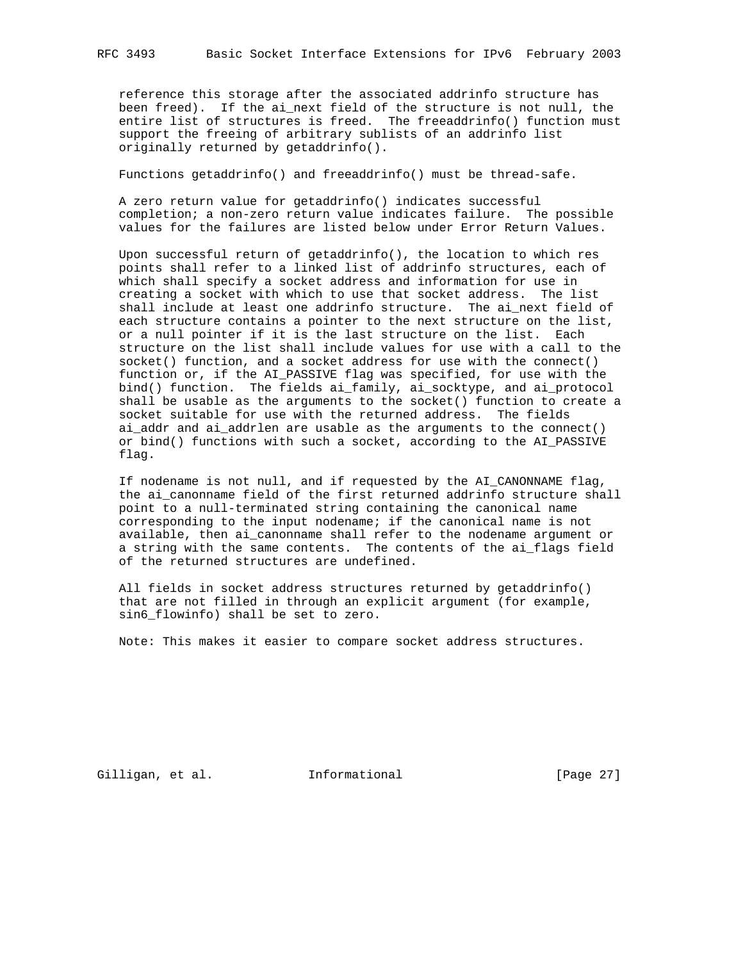reference this storage after the associated addrinfo structure has been freed). If the ai\_next field of the structure is not null, the entire list of structures is freed. The freeaddrinfo() function must support the freeing of arbitrary sublists of an addrinfo list originally returned by getaddrinfo().

Functions getaddrinfo() and freeaddrinfo() must be thread-safe.

 A zero return value for getaddrinfo() indicates successful completion; a non-zero return value indicates failure. The possible values for the failures are listed below under Error Return Values.

 Upon successful return of getaddrinfo(), the location to which res points shall refer to a linked list of addrinfo structures, each of which shall specify a socket address and information for use in creating a socket with which to use that socket address. The list shall include at least one addrinfo structure. The ai\_next field of each structure contains a pointer to the next structure on the list, or a null pointer if it is the last structure on the list. Each structure on the list shall include values for use with a call to the socket() function, and a socket address for use with the connect() function or, if the AI\_PASSIVE flag was specified, for use with the bind() function. The fields ai\_family, ai\_socktype, and ai\_protocol shall be usable as the arguments to the socket() function to create a socket suitable for use with the returned address. The fields ai\_addr and ai\_addrlen are usable as the arguments to the connect() or bind() functions with such a socket, according to the AI\_PASSIVE flag.

 If nodename is not null, and if requested by the AI\_CANONNAME flag, the ai\_canonname field of the first returned addrinfo structure shall point to a null-terminated string containing the canonical name corresponding to the input nodename; if the canonical name is not available, then ai\_canonname shall refer to the nodename argument or a string with the same contents. The contents of the ai\_flags field of the returned structures are undefined.

 All fields in socket address structures returned by getaddrinfo() that are not filled in through an explicit argument (for example, sin6\_flowinfo) shall be set to zero.

Note: This makes it easier to compare socket address structures.

Gilligan, et al. Informational [Page 27]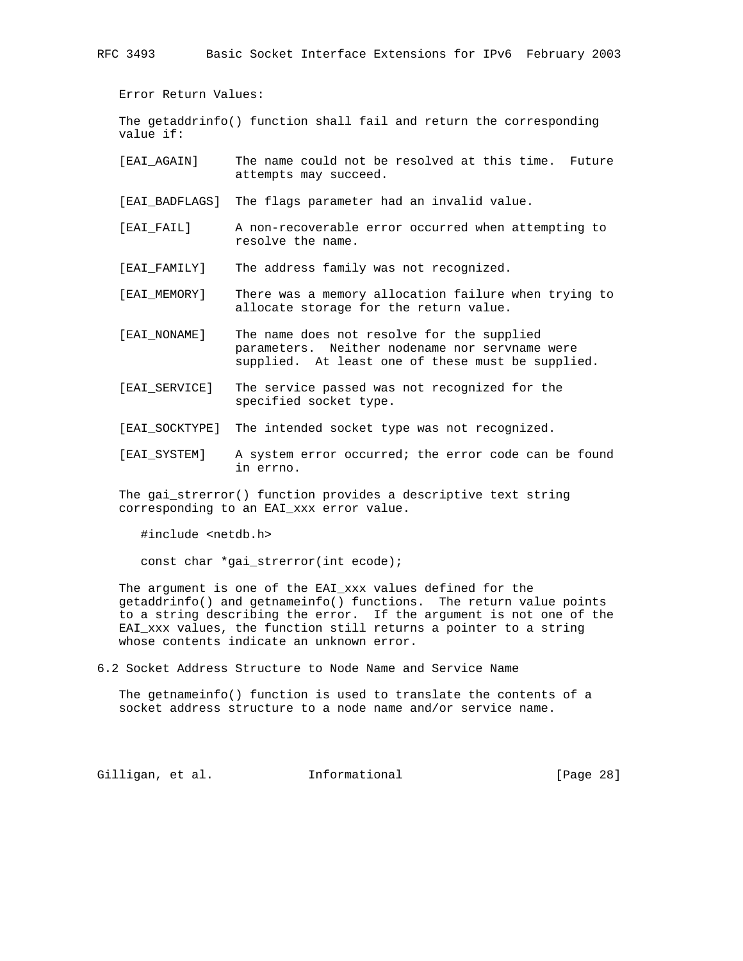RFC 3493 Basic Socket Interface Extensions for IPv6 February 2003

Error Return Values:

 The getaddrinfo() function shall fail and return the corresponding value if:

[EAI\_AGAIN] The name could not be resolved at this time. Future attempts may succeed.

[EAI\_BADFLAGS] The flags parameter had an invalid value.

- [EAI\_FAIL] A non-recoverable error occurred when attempting to resolve the name.
- [EAI\_FAMILY] The address family was not recognized.
- [EAI\_MEMORY] There was a memory allocation failure when trying to allocate storage for the return value.
- [EAI\_NONAME] The name does not resolve for the supplied parameters. Neither nodename nor servname were supplied. At least one of these must be supplied.
- [EAI\_SERVICE] The service passed was not recognized for the specified socket type.
- [EAI\_SOCKTYPE] The intended socket type was not recognized.
- [EAI\_SYSTEM] A system error occurred; the error code can be found in errno.

 The gai\_strerror() function provides a descriptive text string corresponding to an EAI\_xxx error value.

#include <netdb.h>

const char \*gai\_strerror(int ecode);

 The argument is one of the EAI\_xxx values defined for the getaddrinfo() and getnameinfo() functions. The return value points to a string describing the error. If the argument is not one of the EAI\_xxx values, the function still returns a pointer to a string whose contents indicate an unknown error.

6.2 Socket Address Structure to Node Name and Service Name

 The getnameinfo() function is used to translate the contents of a socket address structure to a node name and/or service name.

Gilligan, et al. Informational [Page 28]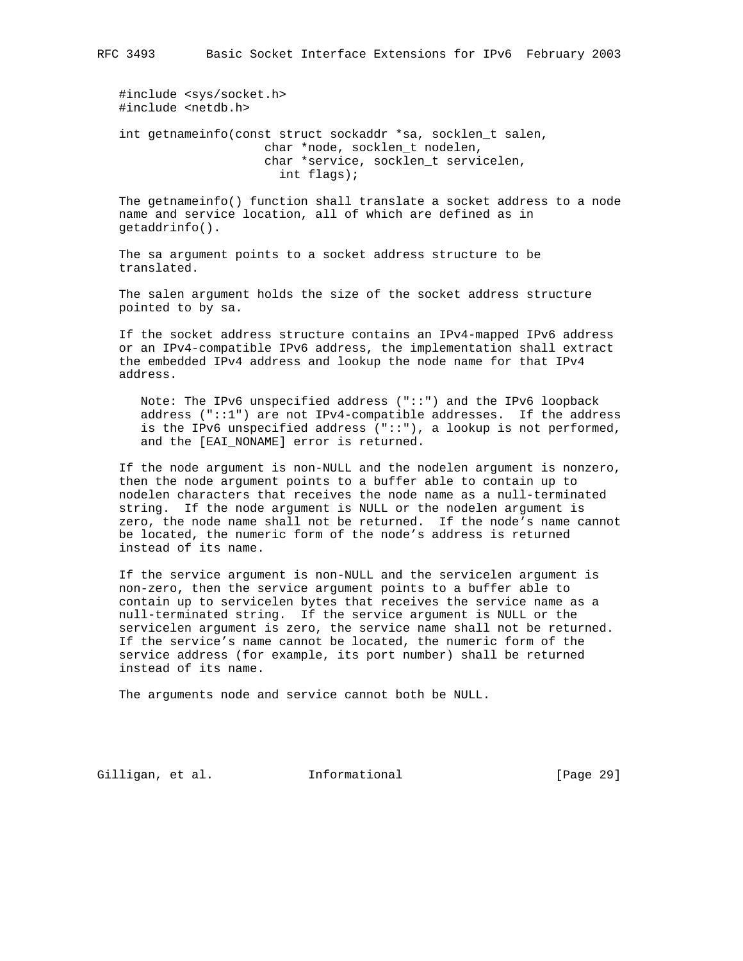#include <sys/socket.h> #include <netdb.h>

 int getnameinfo(const struct sockaddr \*sa, socklen\_t salen, char \*node, socklen\_t nodelen, char \*service, socklen\_t servicelen, int flags);

 The getnameinfo() function shall translate a socket address to a node name and service location, all of which are defined as in getaddrinfo().

 The sa argument points to a socket address structure to be translated.

 The salen argument holds the size of the socket address structure pointed to by sa.

 If the socket address structure contains an IPv4-mapped IPv6 address or an IPv4-compatible IPv6 address, the implementation shall extract the embedded IPv4 address and lookup the node name for that IPv4 address.

 Note: The IPv6 unspecified address ("::") and the IPv6 loopback address ("::1") are not IPv4-compatible addresses. If the address is the IPv6 unspecified address ("::"), a lookup is not performed, and the [EAI\_NONAME] error is returned.

 If the node argument is non-NULL and the nodelen argument is nonzero, then the node argument points to a buffer able to contain up to nodelen characters that receives the node name as a null-terminated string. If the node argument is NULL or the nodelen argument is zero, the node name shall not be returned. If the node's name cannot be located, the numeric form of the node's address is returned instead of its name.

 If the service argument is non-NULL and the servicelen argument is non-zero, then the service argument points to a buffer able to contain up to servicelen bytes that receives the service name as a null-terminated string. If the service argument is NULL or the servicelen argument is zero, the service name shall not be returned. If the service's name cannot be located, the numeric form of the service address (for example, its port number) shall be returned instead of its name.

The arguments node and service cannot both be NULL.

Gilligan, et al. Informational [Page 29]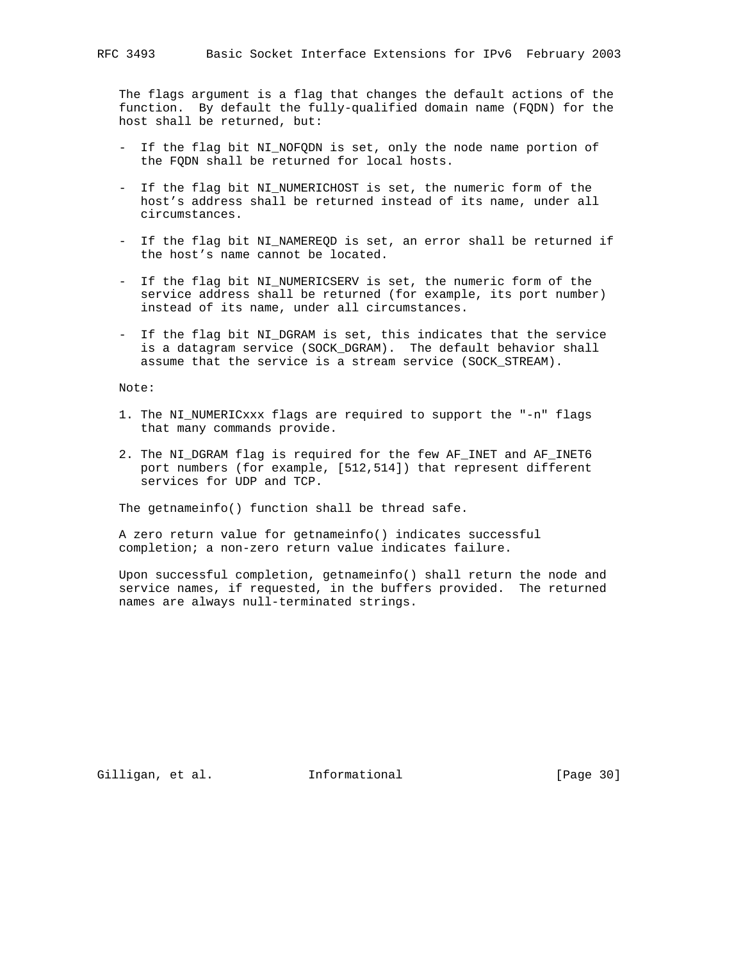The flags argument is a flag that changes the default actions of the function. By default the fully-qualified domain name (FQDN) for the host shall be returned, but:

- If the flag bit NI\_NOFQDN is set, only the node name portion of the FQDN shall be returned for local hosts.
- If the flag bit NI\_NUMERICHOST is set, the numeric form of the host's address shall be returned instead of its name, under all circumstances.
- If the flag bit NI\_NAMEREQD is set, an error shall be returned if the host's name cannot be located.
- If the flag bit NI\_NUMERICSERV is set, the numeric form of the service address shall be returned (for example, its port number) instead of its name, under all circumstances.
- If the flag bit NI\_DGRAM is set, this indicates that the service is a datagram service (SOCK\_DGRAM). The default behavior shall assume that the service is a stream service (SOCK\_STREAM).

Note:

- 1. The NI\_NUMERICxxx flags are required to support the "-n" flags that many commands provide.
- 2. The NI DGRAM flag is required for the few AF INET and AF INET6 port numbers (for example, [512,514]) that represent different services for UDP and TCP.

The getnameinfo() function shall be thread safe.

 A zero return value for getnameinfo() indicates successful completion; a non-zero return value indicates failure.

 Upon successful completion, getnameinfo() shall return the node and service names, if requested, in the buffers provided. The returned names are always null-terminated strings.

Gilligan, et al. 1nformational (Page 30)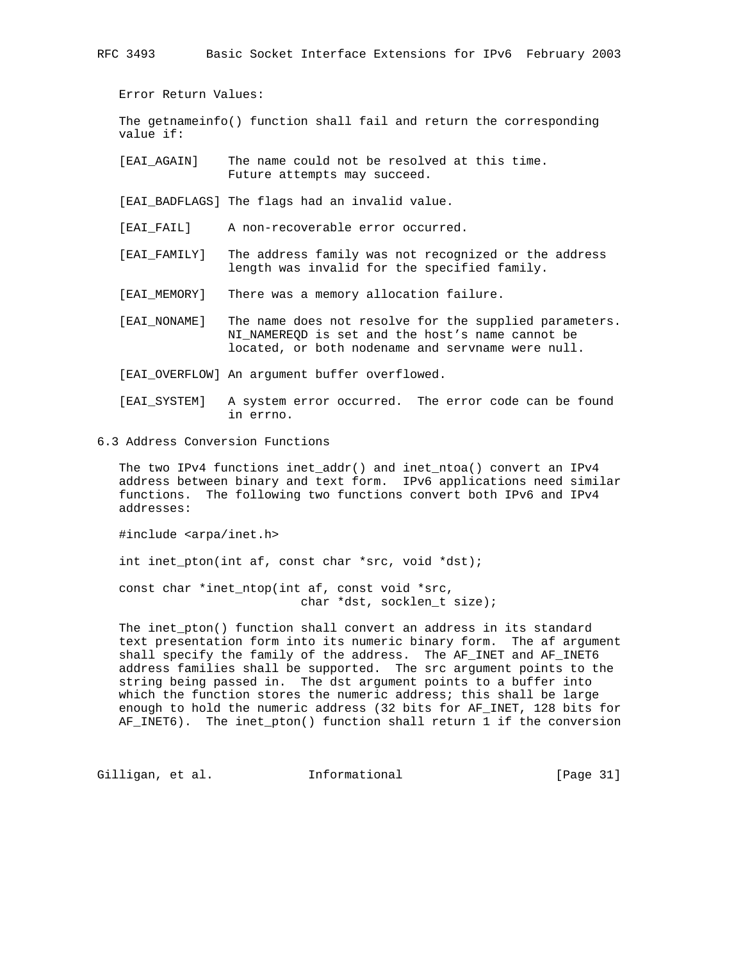RFC 3493 Basic Socket Interface Extensions for IPv6 February 2003

Error Return Values:

 The getnameinfo() function shall fail and return the corresponding value if:

 [EAI\_AGAIN] The name could not be resolved at this time. Future attempts may succeed.

[EAI\_BADFLAGS] The flags had an invalid value.

[EAI\_FAIL] A non-recoverable error occurred.

- [EAI\_FAMILY] The address family was not recognized or the address length was invalid for the specified family.
- [EAI MEMORY] There was a memory allocation failure.
- [EAI\_NONAME] The name does not resolve for the supplied parameters. NI\_NAMEREQD is set and the host's name cannot be located, or both nodename and servname were null.

[EAI\_OVERFLOW] An argument buffer overflowed.

- [EAI\_SYSTEM] A system error occurred. The error code can be found in errno.
- 6.3 Address Conversion Functions

 The two IPv4 functions inet\_addr() and inet\_ntoa() convert an IPv4 address between binary and text form. IPv6 applications need similar functions. The following two functions convert both IPv6 and IPv4 addresses:

#include <arpa/inet.h>

int inet\_pton(int af, const char \*src, void \*dst);

 const char \*inet\_ntop(int af, const void \*src, char \*dst, socklen\_t size);

 The inet\_pton() function shall convert an address in its standard text presentation form into its numeric binary form. The af argument shall specify the family of the address. The AF\_INET and AF\_INET6 address families shall be supported. The src argument points to the string being passed in. The dst argument points to a buffer into which the function stores the numeric address; this shall be large enough to hold the numeric address (32 bits for AF\_INET, 128 bits for AF\_INET6). The inet\_pton() function shall return 1 if the conversion

Gilligan, et al. 1nformational (Page 31)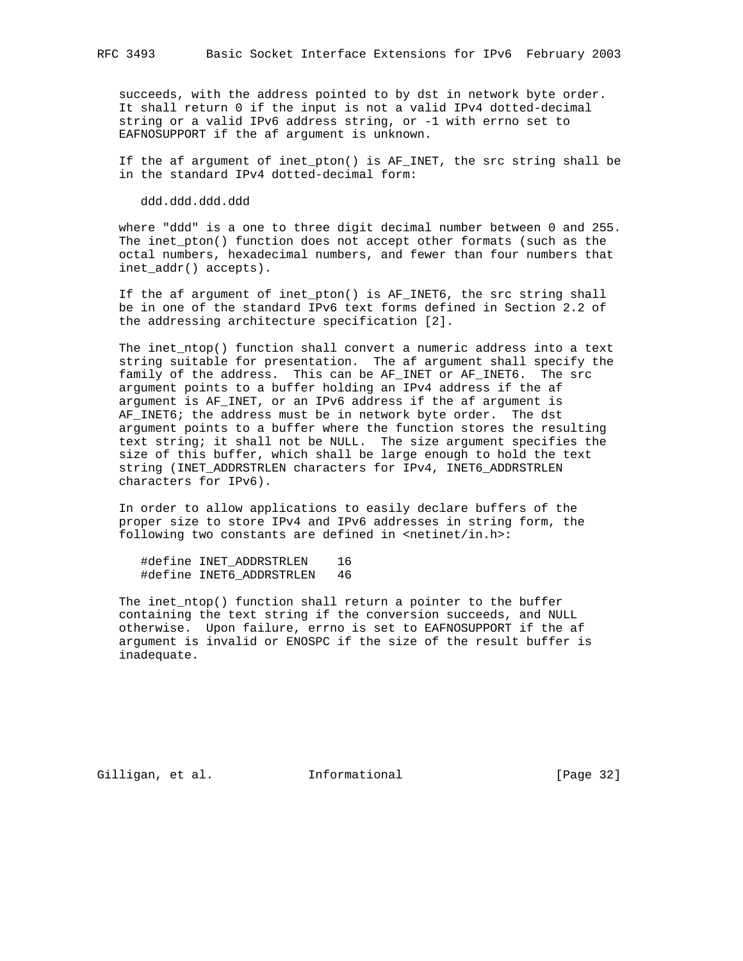succeeds, with the address pointed to by dst in network byte order. It shall return 0 if the input is not a valid IPv4 dotted-decimal string or a valid IPv6 address string, or -1 with errno set to EAFNOSUPPORT if the af argument is unknown.

 If the af argument of inet\_pton() is AF\_INET, the src string shall be in the standard IPv4 dotted-decimal form:

ddd.ddd.ddd.ddd

 where "ddd" is a one to three digit decimal number between 0 and 255. The inet\_pton() function does not accept other formats (such as the octal numbers, hexadecimal numbers, and fewer than four numbers that inet\_addr() accepts).

 If the af argument of inet\_pton() is AF\_INET6, the src string shall be in one of the standard IPv6 text forms defined in Section 2.2 of the addressing architecture specification [2].

 The inet\_ntop() function shall convert a numeric address into a text string suitable for presentation. The af argument shall specify the family of the address. This can be AF\_INET or AF\_INET6. The src argument points to a buffer holding an IPv4 address if the af argument is AF\_INET, or an IPv6 address if the af argument is AF\_INET6; the address must be in network byte order. The dst argument points to a buffer where the function stores the resulting text string; it shall not be NULL. The size argument specifies the size of this buffer, which shall be large enough to hold the text string (INET\_ADDRSTRLEN characters for IPv4, INET6\_ADDRSTRLEN characters for IPv6).

 In order to allow applications to easily declare buffers of the proper size to store IPv4 and IPv6 addresses in string form, the following two constants are defined in <netinet/in.h>:

 #define INET\_ADDRSTRLEN 16 #define INET6\_ADDRSTRLEN 46

 The inet\_ntop() function shall return a pointer to the buffer containing the text string if the conversion succeeds, and NULL otherwise. Upon failure, errno is set to EAFNOSUPPORT if the af argument is invalid or ENOSPC if the size of the result buffer is inadequate.

Gilligan, et al. 1nformational (Page 32)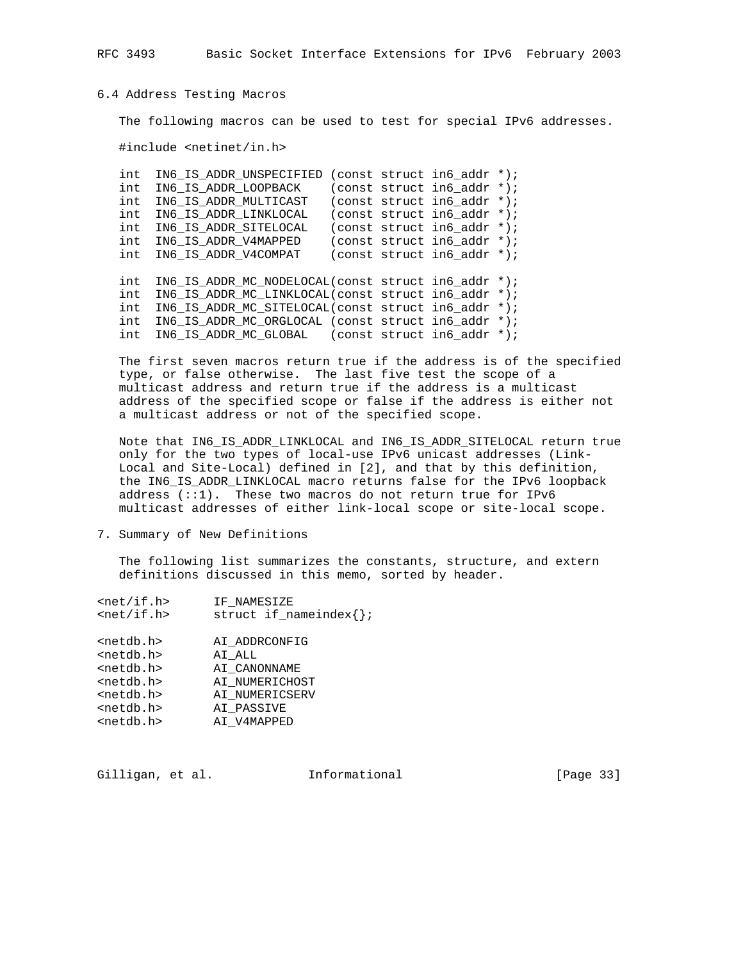RFC 3493 Basic Socket Interface Extensions for IPv6 February 2003

## 6.4 Address Testing Macros

The following macros can be used to test for special IPv6 addresses.

#include <netinet/in.h>

 int IN6\_IS\_ADDR\_UNSPECIFIED (const struct in6\_addr \*); int IN6\_IS\_ADDR\_LOOPBACK (const struct in6\_addr \*); int IN6\_IS\_ADDR\_MULTICAST (const struct in6\_addr \*); int IN6\_IS\_ADDR\_LINKLOCAL (const struct in6\_addr \*); int IN6\_IS\_ADDR\_SITELOCAL (const struct in6\_addr \*); int IN6\_IS\_ADDR\_V4MAPPED (const struct in6\_addr \*); int IN6\_IS\_ADDR\_V4COMPAT (const struct in6\_addr \*);

 int IN6\_IS\_ADDR\_MC\_NODELOCAL(const struct in6\_addr \*); int IN6\_IS\_ADDR\_MC\_LINKLOCAL(const struct in6\_addr \*); int IN6\_IS\_ADDR\_MC\_SITELOCAL(const struct in6\_addr \*); int IN6\_IS\_ADDR\_MC\_ORGLOCAL (const struct in6\_addr \*); int IN6\_IS\_ADDR\_MC\_GLOBAL (const struct in6\_addr \*);

 The first seven macros return true if the address is of the specified type, or false otherwise. The last five test the scope of a multicast address and return true if the address is a multicast address of the specified scope or false if the address is either not a multicast address or not of the specified scope.

 Note that IN6\_IS\_ADDR\_LINKLOCAL and IN6\_IS\_ADDR\_SITELOCAL return true only for the two types of local-use IPv6 unicast addresses (Link- Local and Site-Local) defined in [2], and that by this definition, the IN6\_IS\_ADDR\_LINKLOCAL macro returns false for the IPv6 loopback address (::1). These two macros do not return true for IPv6 multicast addresses of either link-local scope or site-local scope.

7. Summary of New Definitions

 The following list summarizes the constants, structure, and extern definitions discussed in this memo, sorted by header.

| $net/if.h$          | IF NAMESIZE                      |
|---------------------|----------------------------------|
| $net/if.h$          | struct if $n =$ nameindex $\{\}$ |
| <netdb.h></netdb.h> | AI ADDRCONFIG                    |
| <netdb.h></netdb.h> | AI ALL                           |
| <netdb.h></netdb.h> | AI CANONNAME                     |
| <netdb.h></netdb.h> | AI NUMERICHOST                   |
| <netdb.h></netdb.h> | AI NUMERICSERV                   |
| <netdb.h></netdb.h> | AI PASSIVE                       |
| <netdb.h></netdb.h> | AI_V4MAPPED                      |
|                     |                                  |

Gilligan, et al. 1nformational (Page 33)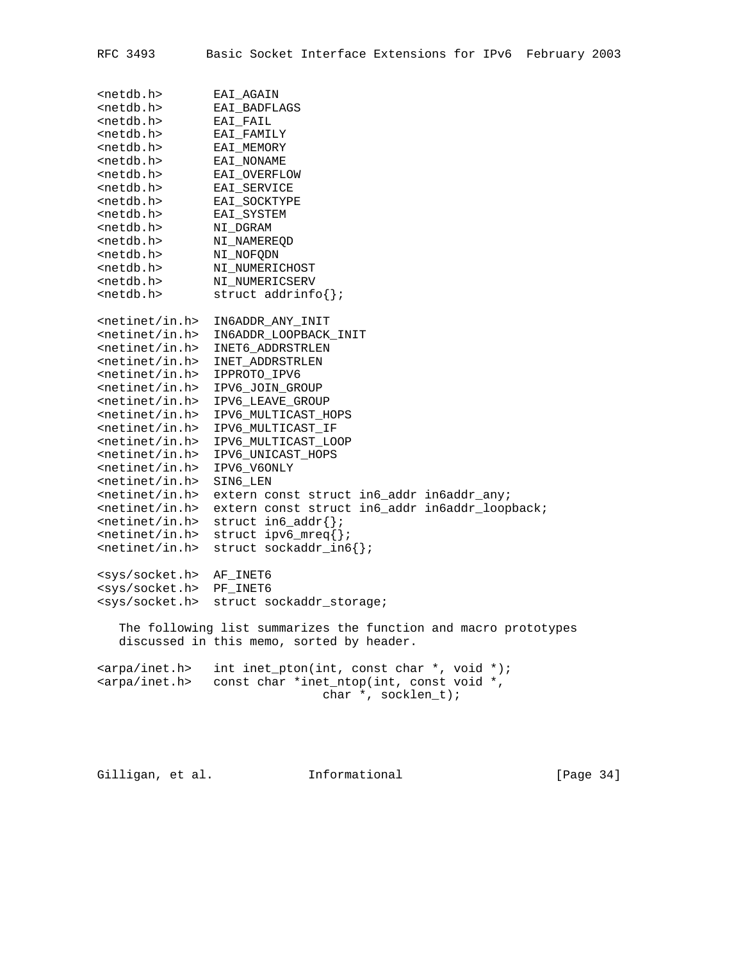| <netdb.h></netdb.h>     | EAI_AGAIN                                                       |
|-------------------------|-----------------------------------------------------------------|
| <netdb.h></netdb.h>     | EAI_BADFLAGS                                                    |
| <netdb.h></netdb.h>     | EAI FAIL                                                        |
| <netdb.h></netdb.h>     | EAI_FAMILY                                                      |
| <netdb.h></netdb.h>     | EAI_MEMORY                                                      |
| <netdb.h></netdb.h>     | EAI_NONAME                                                      |
| <netdb.h></netdb.h>     | EAI OVERFLOW                                                    |
| <netdb.h></netdb.h>     | EAI_SERVICE                                                     |
| <netdb.h></netdb.h>     | EAI_SOCKTYPE                                                    |
| <netdb.h></netdb.h>     | EAI_SYSTEM                                                      |
| <netdb.h></netdb.h>     | NI_DGRAM                                                        |
| <netdb.h></netdb.h>     | NI_NAMEREQD                                                     |
| <netdb.h></netdb.h>     | NI_NOFQDN                                                       |
| <netdb.h></netdb.h>     | NI_NUMERICHOST                                                  |
| <netdb.h></netdb.h>     |                                                                 |
| <netdb.h></netdb.h>     | NI NUMERICSERV                                                  |
|                         | struct $addrinfo{}$ };                                          |
| $<$ netinet/in.h>       |                                                                 |
| $\text{entinet/in.h}$   | IN6ADDR_ANY_INIT                                                |
| $\text{entinet/in.h}$   | IN6ADDR_LOOPBACK_INIT                                           |
|                         | INET6_ADDRSTRLEN                                                |
| $<$ netinet/in.h>       | INET ADDRSTRLEN                                                 |
| $\text{entinet/in.h}$   | IPPROTO_IPV6                                                    |
| $<$ netinet/in.h>       | IPV6_JOIN_GROUP                                                 |
| $<$ netinet/in.h>       | IPV6_LEAVE_GROUP                                                |
| $<$ netinet/in.h>       | IPV6_MULTICAST_HOPS                                             |
| $\text{entinet/in.h}$   | IPV6_MULTICAST_IF                                               |
| $\text{entinet/in.h}$   | IPV6_MULTICAST_LOOP                                             |
| $\text{entinet/in.h}$   | IPV6_UNICAST_HOPS                                               |
| $\text{entinet/in.h}$   | IPV6_V6ONLY                                                     |
| $\text{entinet/in.h}$   | SIN6 LEN                                                        |
| $\text{entinet/in.h}$   | extern const struct in6_addr in6addr_any;                       |
| $<$ netinet/in.h>       | extern const struct in6_addr in6addr_loopback;                  |
| $\text{entinet/in.h}$   | struct $info\_addr{}$ ?                                         |
| $\text{entinet/in.h}$   | struct $ipv6_mreq\$ ;                                           |
| $<$ netinet/in.h>       | struct sockaddr_in6 $\{\}\$                                     |
|                         |                                                                 |
| <sys socket.h=""></sys> | AF_INET6                                                        |
| <sys socket.h=""></sys> | PF INET6                                                        |
| <sys socket.h=""></sys> | struct sockaddr_storage;                                        |
|                         | The following list summarizes the function and macro prototypes |
|                         | discussed in this memo, sorted by header.                       |
| <arpa inet.h=""></arpa> | int inet_pton(int, const char $*$ , void $*)$ ;                 |
| <arpa inet.h=""></arpa> | const char *inet_ntop(int, const void *,                        |
|                         | char *, socklen_t);                                             |
|                         |                                                                 |
|                         |                                                                 |
|                         |                                                                 |

Gilligan, et al. 1nformational (Page 34)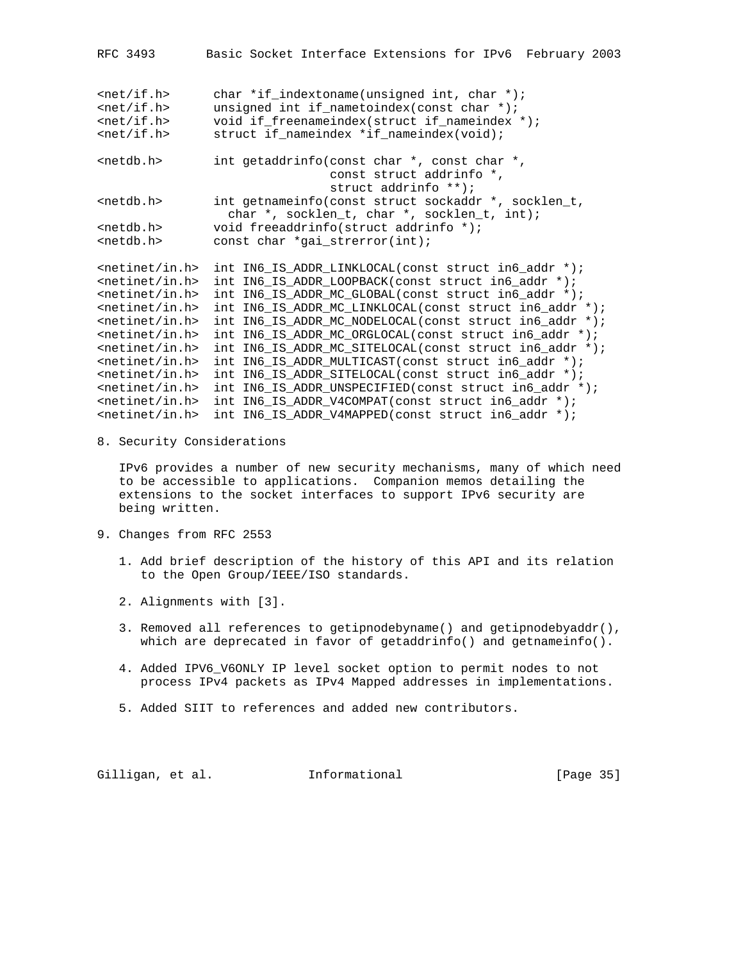| RFC 3493                                         | Basic Socket Interface Extensions for IPv6 February 2003                                                                                                                               |
|--------------------------------------------------|----------------------------------------------------------------------------------------------------------------------------------------------------------------------------------------|
| $net/if.h$<br>$net/if.h$<br>$net/if.h$<br>$\n  $ | char *if_indextoname(unsigned int, char *);<br>unsigned int if_nametoindex(const char *);<br>void if freenameindex(struct if nameindex *);<br>struct if_nameindex *if_nameindex(void); |
| $netdb.h>$                                       | int getaddrinfo(const char *, const char *,<br>const struct addrinfo *,<br>struct addrinfo **);                                                                                        |
| $netdb.h>$                                       | int getnameinfo(const struct sockaddr *, socklen_t,<br>char *, socklen_t, char *, socklen_t, int);                                                                                     |
| $netdb.h>$                                       | void freeaddrinfo(struct addrinfo *);                                                                                                                                                  |
| $netdb.h>$                                       | const char *gai_strerror(int);                                                                                                                                                         |
| $<$ netinet/in.h>                                | int IN6_IS_ADDR_LINKLOCAL(const struct in6_addr *);                                                                                                                                    |
| $<$ netinet/in.h>                                | int IN6 IS ADDR LOOPBACK(const struct in6 addr $\star$ );                                                                                                                              |
| $netinet/in.h$                                   | int IN6 IS ADDR MC GLOBAL(const struct in6 addr $\star$ );                                                                                                                             |
| $<$ netinet/in.h>                                | int IN6_IS_ADDR_MC_LINKLOCAL(const struct in6_addr *);                                                                                                                                 |
| $<$ netinet/in.h>                                | int IN6 IS ADDR MC NODELOCAL(const struct in6 addr *);                                                                                                                                 |
| $<$ netinet/in.h>                                | int IN6_IS_ADDR_MC_ORGLOCAL(const struct in6_addr *);                                                                                                                                  |
| $netinet/in.h$                                   | int IN6_IS_ADDR_MC_SITELOCAL(const struct in6_addr *);                                                                                                                                 |
| $<$ netinet/in.h>                                | int IN6 IS ADDR MULTICAST(const struct in6 addr *);                                                                                                                                    |
| $\left\langle \text{netinet/in.h}\right\rangle$  | int IN6_IS_ADDR_SITELOCAL(const struct in6_addr *);                                                                                                                                    |
| $\left\langle \text{netinet/in.h}\right\rangle$  | int IN6 IS ADDR UNSPECIFIED (const struct in6 addr *);                                                                                                                                 |
| $\left\{$ -netinet/in.h                          | int IN6_IS_ADDR_V4COMPAT(const struct in6_addr *);                                                                                                                                     |
| $<$ netinet/in.h>                                | int IN6 IS ADDR V4MAPPED(const struct in6 addr *);                                                                                                                                     |

8. Security Considerations

 IPv6 provides a number of new security mechanisms, many of which need to be accessible to applications. Companion memos detailing the extensions to the socket interfaces to support IPv6 security are being written.

- 9. Changes from RFC 2553
	- 1. Add brief description of the history of this API and its relation to the Open Group/IEEE/ISO standards.
	- 2. Alignments with [3].
	- 3. Removed all references to getipnodebyname() and getipnodebyaddr(), which are deprecated in favor of getaddrinfo() and getnameinfo().
	- 4. Added IPV6\_V6ONLY IP level socket option to permit nodes to not process IPv4 packets as IPv4 Mapped addresses in implementations.
	- 5. Added SIIT to references and added new contributors.

Gilligan, et al. Informational [Page 35]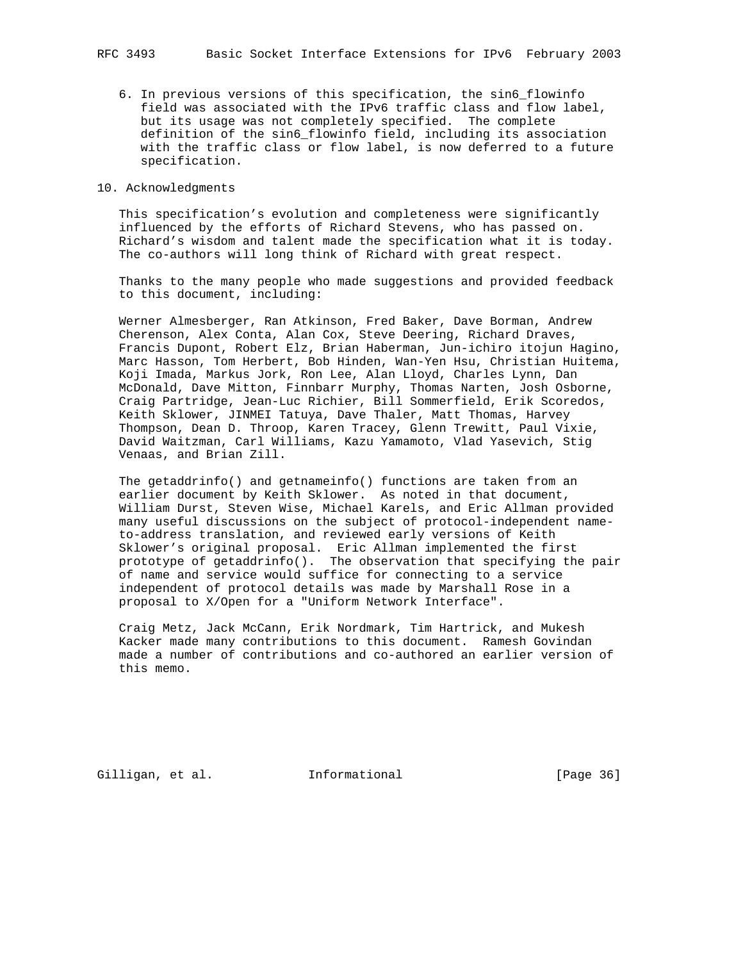6. In previous versions of this specification, the sin6\_flowinfo field was associated with the IPv6 traffic class and flow label, but its usage was not completely specified. The complete definition of the sin6\_flowinfo field, including its association with the traffic class or flow label, is now deferred to a future specification.

#### 10. Acknowledgments

 This specification's evolution and completeness were significantly influenced by the efforts of Richard Stevens, who has passed on. Richard's wisdom and talent made the specification what it is today. The co-authors will long think of Richard with great respect.

 Thanks to the many people who made suggestions and provided feedback to this document, including:

 Werner Almesberger, Ran Atkinson, Fred Baker, Dave Borman, Andrew Cherenson, Alex Conta, Alan Cox, Steve Deering, Richard Draves, Francis Dupont, Robert Elz, Brian Haberman, Jun-ichiro itojun Hagino, Marc Hasson, Tom Herbert, Bob Hinden, Wan-Yen Hsu, Christian Huitema, Koji Imada, Markus Jork, Ron Lee, Alan Lloyd, Charles Lynn, Dan McDonald, Dave Mitton, Finnbarr Murphy, Thomas Narten, Josh Osborne, Craig Partridge, Jean-Luc Richier, Bill Sommerfield, Erik Scoredos, Keith Sklower, JINMEI Tatuya, Dave Thaler, Matt Thomas, Harvey Thompson, Dean D. Throop, Karen Tracey, Glenn Trewitt, Paul Vixie, David Waitzman, Carl Williams, Kazu Yamamoto, Vlad Yasevich, Stig Venaas, and Brian Zill.

 The getaddrinfo() and getnameinfo() functions are taken from an earlier document by Keith Sklower. As noted in that document, William Durst, Steven Wise, Michael Karels, and Eric Allman provided many useful discussions on the subject of protocol-independent name to-address translation, and reviewed early versions of Keith Sklower's original proposal. Eric Allman implemented the first prototype of getaddrinfo(). The observation that specifying the pair of name and service would suffice for connecting to a service independent of protocol details was made by Marshall Rose in a proposal to X/Open for a "Uniform Network Interface".

 Craig Metz, Jack McCann, Erik Nordmark, Tim Hartrick, and Mukesh Kacker made many contributions to this document. Ramesh Govindan made a number of contributions and co-authored an earlier version of this memo.

Gilligan, et al. 1nformational (Page 36)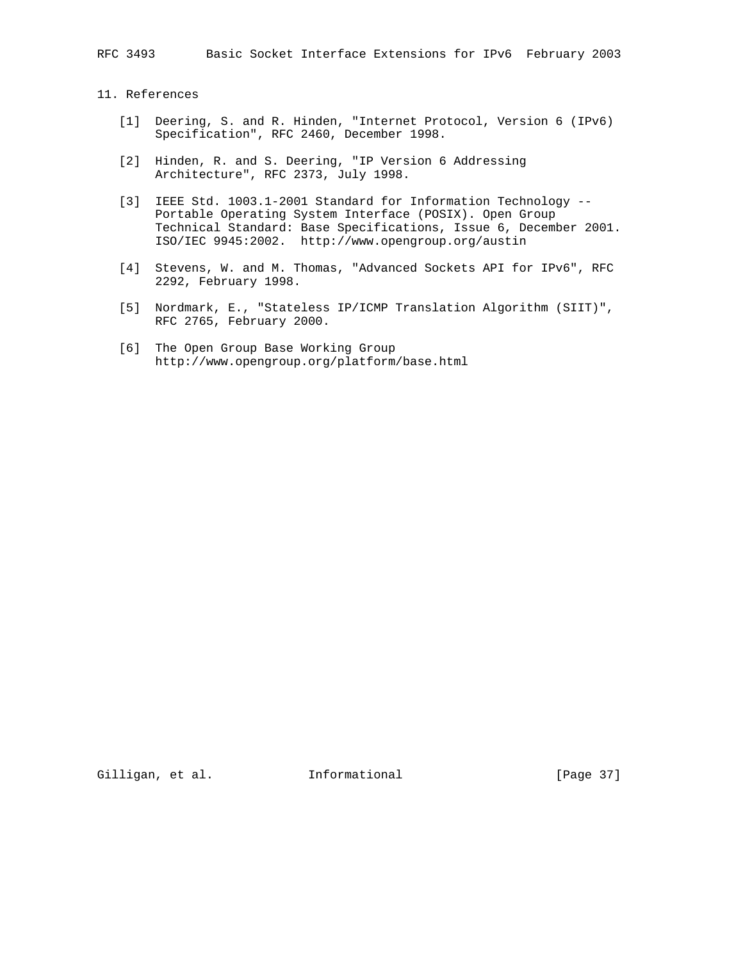RFC 3493 Basic Socket Interface Extensions for IPv6 February 2003

11. References

- [1] Deering, S. and R. Hinden, "Internet Protocol, Version 6 (IPv6) Specification", RFC 2460, December 1998.
- [2] Hinden, R. and S. Deering, "IP Version 6 Addressing Architecture", RFC 2373, July 1998.
- [3] IEEE Std. 1003.1-2001 Standard for Information Technology -- Portable Operating System Interface (POSIX). Open Group Technical Standard: Base Specifications, Issue 6, December 2001. ISO/IEC 9945:2002. http://www.opengroup.org/austin
- [4] Stevens, W. and M. Thomas, "Advanced Sockets API for IPv6", RFC 2292, February 1998.
- [5] Nordmark, E., "Stateless IP/ICMP Translation Algorithm (SIIT)", RFC 2765, February 2000.
- [6] The Open Group Base Working Group http://www.opengroup.org/platform/base.html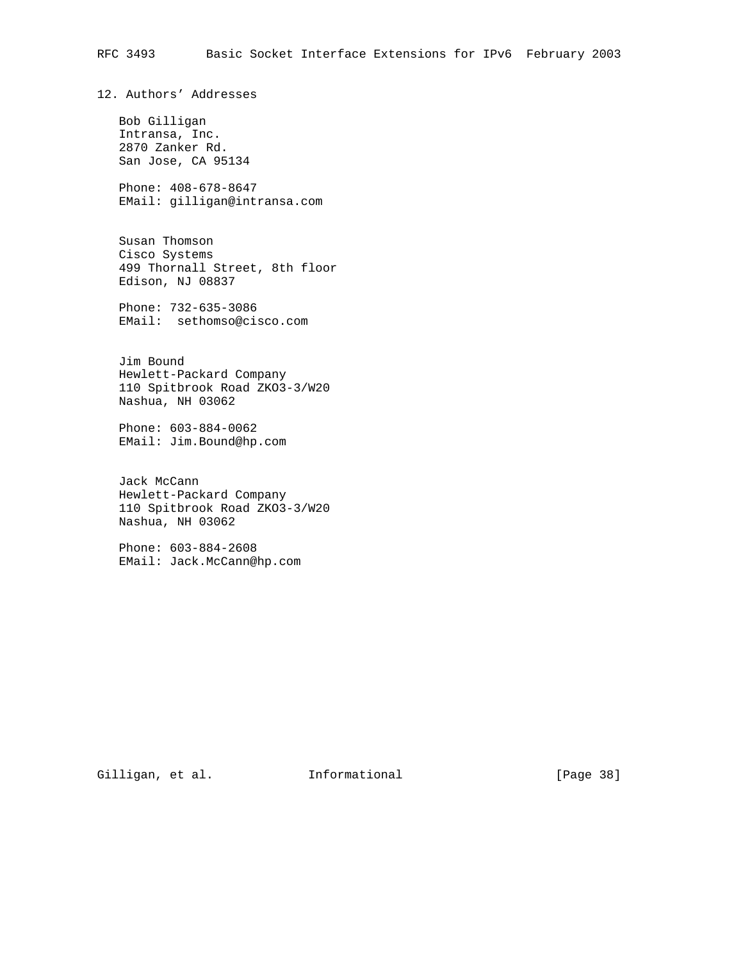12. Authors' Addresses

 Bob Gilligan Intransa, Inc. 2870 Zanker Rd. San Jose, CA 95134

 Phone: 408-678-8647 EMail: gilligan@intransa.com

 Susan Thomson Cisco Systems 499 Thornall Street, 8th floor Edison, NJ 08837

 Phone: 732-635-3086 EMail: sethomso@cisco.com

 Jim Bound Hewlett-Packard Company 110 Spitbrook Road ZKO3-3/W20 Nashua, NH 03062

 Phone: 603-884-0062 EMail: Jim.Bound@hp.com

 Jack McCann Hewlett-Packard Company 110 Spitbrook Road ZKO3-3/W20 Nashua, NH 03062

 Phone: 603-884-2608 EMail: Jack.McCann@hp.com

Gilligan, et al. Informational [Page 38]